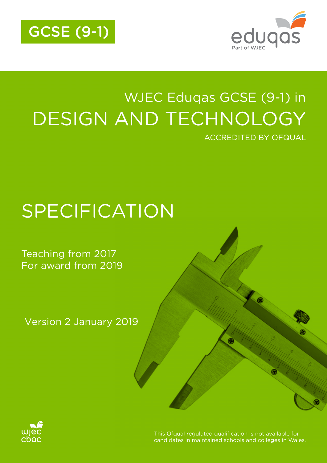



# WJEC Eduqas GCSE (9-1) in DESIGN AND TECHNOLOGY ACCREDITED BY OFQUAL

# SPECIFICATION

### Teaching from 2017 For award from 2019

Version 2 January 2019



This Ofqual requlated qualification is not available for candidates in maintained schools and colleges in Wales.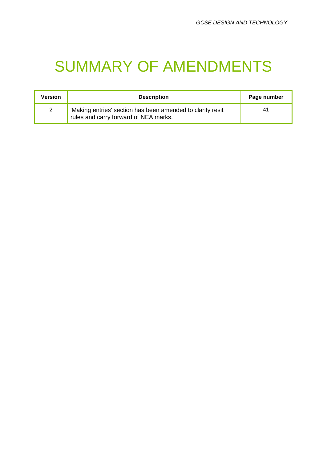# SUMMARY OF AMENDMENTS

| Version | <b>Description</b>                                                                                  | Page number |
|---------|-----------------------------------------------------------------------------------------------------|-------------|
| 2       | 'Making entries' section has been amended to clarify resit<br>rules and carry forward of NEA marks. | 41          |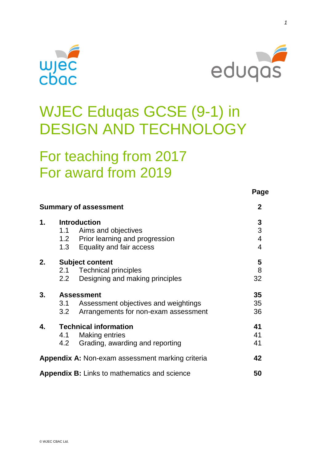



**Page**

# WJEC Eduqas GCSE (9-1) in DESIGN AND TECHNOLOGY

## For teaching from 2017 For award from 2019

|                |                   | <b>Summary of assessment</b>                        | $\mathbf{2}$             |
|----------------|-------------------|-----------------------------------------------------|--------------------------|
| 1 <sub>1</sub> |                   | <b>Introduction</b>                                 | 3                        |
|                |                   | 1.1 Aims and objectives                             | 3                        |
|                |                   | 1.2 Prior learning and progression                  | $\overline{\mathcal{A}}$ |
|                |                   | 1.3 Equality and fair access                        | $\overline{4}$           |
| 2.             |                   | <b>Subject content</b>                              | $\overline{\mathbf{5}}$  |
|                |                   | 2.1 Technical principles                            | 8                        |
|                | 2.2               | Designing and making principles                     | 32                       |
| 3.             | <b>Assessment</b> |                                                     | 35                       |
|                | 3.1               | Assessment objectives and weightings                | 35                       |
|                | 3.2               | Arrangements for non-exam assessment                | 36                       |
| 4.             |                   | <b>Technical information</b>                        | 41                       |
|                | 4.1               | <b>Making entries</b>                               | 41                       |
|                | 4.2               | Grading, awarding and reporting                     | 41                       |
|                |                   | Appendix A: Non-exam assessment marking criteria    | 42                       |
|                |                   | <b>Appendix B:</b> Links to mathematics and science | 50                       |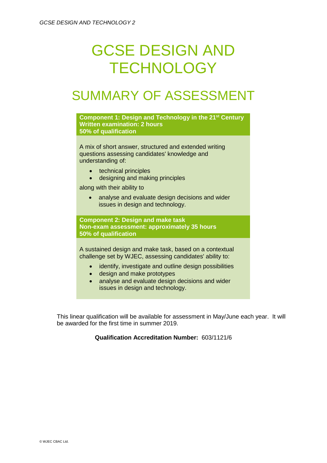# GCSE DESIGN AND **TECHNOLOGY**

## SUMMARY OF ASSESSMENT



This linear qualification will be available for assessment in May/June each year. It will be awarded for the first time in summer 2019.

**Qualification Accreditation Number:** 603/1121/6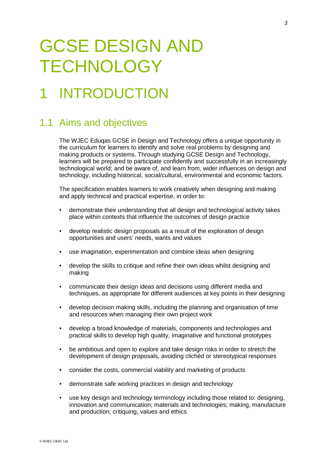# GCSE DESIGN AND **TECHNOLOGY**

# **INTRODUCTION**

### 1.1 Aims and objectives

The WJEC Eduqas GCSE in Design and Technology offers a unique opportunity in the curriculum for learners to identify and solve real problems by designing and making products or systems. Through studying GCSE Design and Technology, learners will be prepared to participate confidently and successfully in an increasingly technological world; and be aware of, and learn from, wider influences on design and technology, including historical, social/cultural, environmental and economic factors.

The specification enables learners to work creatively when designing and making and apply technical and practical expertise, in order to:

- demonstrate their understanding that all design and technological activity takes place within contexts that influence the outcomes of design practice
- develop realistic design proposals as a result of the exploration of design opportunities and users' needs, wants and values
- use imagination, experimentation and combine ideas when designing
- develop the skills to critique and refine their own ideas whilst designing and making
- communicate their design ideas and decisions using different media and techniques, as appropriate for different audiences at key points in their designing
- develop decision making skills, including the planning and organisation of time and resources when managing their own project work
- develop a broad knowledge of materials, components and technologies and practical skills to develop high quality, imaginative and functional prototypes
- be ambitious and open to explore and take design risks in order to stretch the development of design proposals, avoiding clichéd or stereotypical responses
- consider the costs, commercial viability and marketing of products
- demonstrate safe working practices in design and technology
- use key design and technology terminology including those related to: designing, innovation and communication; materials and technologies; making, manufacture and production; critiquing, values and ethics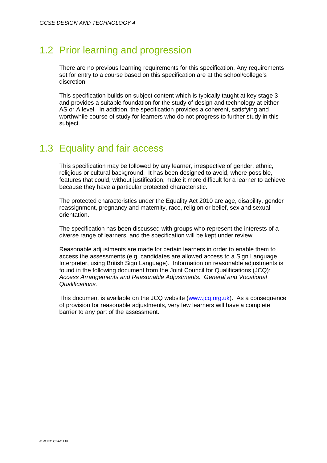### 1.2 Prior learning and progression

There are no previous learning requirements for this specification. Any requirements set for entry to a course based on this specification are at the school/college's discretion.

This specification builds on subject content which is typically taught at key stage 3 and provides a suitable foundation for the study of design and technology at either AS or A level. In addition, the specification provides a coherent, satisfying and worthwhile course of study for learners who do not progress to further study in this subject.

### 1.3 Equality and fair access

This specification may be followed by any learner, irrespective of gender, ethnic, religious or cultural background. It has been designed to avoid, where possible, features that could, without justification, make it more difficult for a learner to achieve because they have a particular protected characteristic.

The protected characteristics under the Equality Act 2010 are age, disability, gender reassignment, pregnancy and maternity, race, religion or belief, sex and sexual orientation.

The specification has been discussed with groups who represent the interests of a diverse range of learners, and the specification will be kept under review.

Reasonable adjustments are made for certain learners in order to enable them to access the assessments (e.g. candidates are allowed access to a Sign Language Interpreter, using British Sign Language). Information on reasonable adjustments is found in the following document from the Joint Council for Qualifications (JCQ): *Access Arrangements and Reasonable Adjustments: General and Vocational Qualifications.*

This document is available on the JCQ website [\(www.jcq.org.uk\)](http://www.jcq.org.uk/). As a consequence of provision for reasonable adjustments, very few learners will have a complete barrier to any part of the assessment.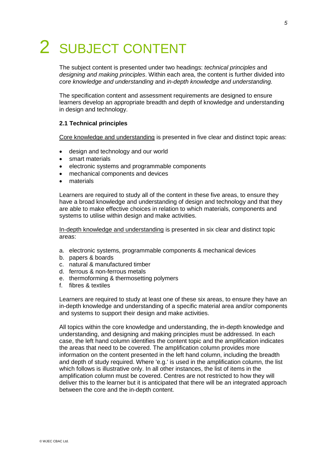# 2 SUBJECT CONTENT

The subject content is presented under two headings: *technical principles* and *designing and making principles*. Within each area, the content is further divided into *core knowledge and understanding* and *in-depth knowledge and understanding.*

The specification content and assessment requirements are designed to ensure learners develop an appropriate breadth and depth of knowledge and understanding in design and technology.

#### **2.1 Technical principles**

Core knowledge and understanding is presented in five clear and distinct topic areas:

- design and technology and our world
- smart materials
- electronic systems and programmable components
- mechanical components and devices
- materials

Learners are required to study all of the content in these five areas, to ensure they have a broad knowledge and understanding of design and technology and that they are able to make effective choices in relation to which materials, components and systems to utilise within design and make activities.

In-depth knowledge and understanding is presented in six clear and distinct topic areas:

- a. electronic systems, programmable components & mechanical devices
- b. papers & boards
- c. natural & manufactured timber
- d. ferrous & non-ferrous metals
- e. thermoforming & thermosetting polymers
- f. fibres & textiles

Learners are required to study at least one of these six areas, to ensure they have an in-depth knowledge and understanding of a specific material area and/or components and systems to support their design and make activities.

All topics within the core knowledge and understanding, the in-depth knowledge and understanding, and designing and making principles must be addressed. In each case, the left hand column identifies the content topic and the amplification indicates the areas that need to be covered. The amplification column provides more information on the content presented in the left hand column, including the breadth and depth of study required. Where 'e.g.' is used in the amplification column, the list which follows is illustrative only. In all other instances, the list of items in the amplification column must be covered. Centres are not restricted to how they will deliver this to the learner but it is anticipated that there will be an integrated approach between the core and the in-depth content.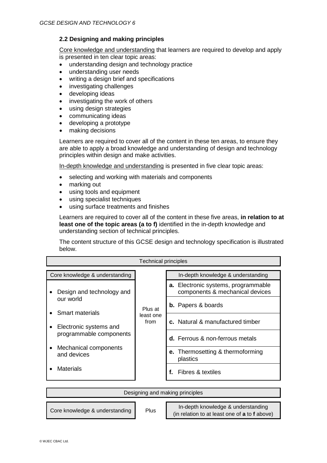### **2.2 Designing and making principles**

Core knowledge and understanding that learners are required to develop and apply is presented in ten clear topic areas:

- understanding design and technology practice
- understanding user needs
- writing a design brief and specifications
- investigating challenges
- developing ideas
- investigating the work of others
- using design strategies
- communicating ideas
- developing a prototype
- making decisions

Learners are required to cover all of the content in these ten areas, to ensure they are able to apply a broad knowledge and understanding of design and technology principles within design and make activities.

In-depth knowledge and understanding is presented in five clear topic areas:

- selecting and working with materials and components
- marking out
- using tools and equipment
- using specialist techniques
- using surface treatments and finishes

Learners are required to cover all of the content in these five areas, **in relation to at least one of the topic areas (a to f)** identified in the in-depth knowledge and understanding section of technical principles.

The content structure of this GCSE design and technology specification is illustrated below.

| <b>Technical principles</b>                       |                   |                                                                               |
|---------------------------------------------------|-------------------|-------------------------------------------------------------------------------|
| Core knowledge & understanding                    |                   | In-depth knowledge & understanding                                            |
| Design and technology and                         |                   | <b>a.</b> Electronic systems, programmable<br>components & mechanical devices |
| our world<br>Smart materials                      | Plus at           | <b>b.</b> Papers & boards                                                     |
| Electronic systems and<br>programmable components | least one<br>from | c. Natural & manufactured timber                                              |
|                                                   |                   | d. Ferrous & non-ferrous metals                                               |
| Mechanical components<br>and devices              |                   | <b>e.</b> Thermosetting & thermoforming<br>plastics                           |
| Materials                                         |                   | f. Fibres & textiles                                                          |

| Designing and making principles |      |                                                                                     |
|---------------------------------|------|-------------------------------------------------------------------------------------|
| Core knowledge & understanding  | Plus | In-depth knowledge & understanding<br>(in relation to at least one of a to f above) |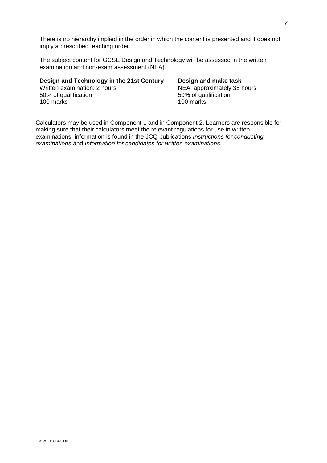There is no hierarchy implied in the order in which the content is presented and it does not imply a prescribed teaching order.

The subject content for GCSE Design and Technology will be assessed in the written examination and non-exam assessment (NEA).

### **Design and Technology in the 21st Century Design and make task**<br>Written examination: 2 hours **NEA: approximately 35** https://written.com Written examination: 2 hours<br>
50% of qualification<br>
50% of qualification<br>
50% of qualification 100 marks

# 50% of qualification<br>100 marks

Calculators may be used in Component 1 and in Component 2. Learners are responsible for making sure that their calculators meet the relevant regulations for use in written examinations: information is found in the JCQ publications *Instructions for conducting examinations* and *Information for candidates for written examinations.*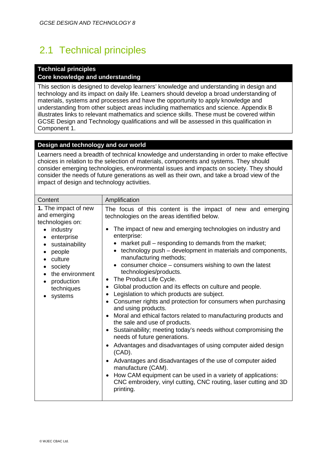### 2.1 Technical principles

### **Technical principles**

#### **Core knowledge and understanding**

This section is designed to develop learners' knowledge and understanding in design and technology and its impact on daily life. Learners should develop a broad understanding of materials, systems and processes and have the opportunity to apply knowledge and understanding from other subject areas including mathematics and science. Appendix B illustrates links to relevant mathematics and science skills. These must be covered within GCSE Design and Technology qualifications and will be assessed in this qualification in Component 1.

### **Design and technology and our world**

Learners need a breadth of technical knowledge and understanding in order to make effective choices in relation to the selection of materials, components and systems. They should consider emerging technologies, environmental issues and impacts on society. They should consider the needs of future generations as well as their own, and take a broad view of the impact of design and technology activities.

| Content                                                                                                                                                                                                                                                      | Amplification                                                                                                                                                                                                                                                                                                                                                                                                                                                                                                                                                                                                                                                                                                                                                                                                                                                                                                                                                                                                                                                                                                                                                                       |
|--------------------------------------------------------------------------------------------------------------------------------------------------------------------------------------------------------------------------------------------------------------|-------------------------------------------------------------------------------------------------------------------------------------------------------------------------------------------------------------------------------------------------------------------------------------------------------------------------------------------------------------------------------------------------------------------------------------------------------------------------------------------------------------------------------------------------------------------------------------------------------------------------------------------------------------------------------------------------------------------------------------------------------------------------------------------------------------------------------------------------------------------------------------------------------------------------------------------------------------------------------------------------------------------------------------------------------------------------------------------------------------------------------------------------------------------------------------|
| 1. The impact of new<br>and emerging<br>technologies on:<br>industry<br>$\bullet$<br>enterprise<br>٠<br>sustainability<br>people<br>$\bullet$<br>culture<br>society<br>٠<br>the environment<br>$\bullet$<br>production<br>$\bullet$<br>techniques<br>systems | The focus of this content is the impact of new and emerging<br>technologies on the areas identified below.<br>The impact of new and emerging technologies on industry and<br>enterprise:<br>market pull – responding to demands from the market;<br>technology push - development in materials and components,<br>manufacturing methods;<br>• consumer choice - consumers wishing to own the latest<br>technologies/products.<br>The Product Life Cycle.<br>Global production and its effects on culture and people.<br>٠<br>Legislation to which products are subject.<br>Consumer rights and protection for consumers when purchasing<br>and using products.<br>Moral and ethical factors related to manufacturing products and<br>the sale and use of products.<br>Sustainability; meeting today's needs without compromising the<br>needs of future generations.<br>Advantages and disadvantages of using computer aided design<br>$(CAD)$ .<br>Advantages and disadvantages of the use of computer aided<br>manufacture (CAM).<br>How CAM equipment can be used in a variety of applications:<br>CNC embroidery, vinyl cutting, CNC routing, laser cutting and 3D<br>printing. |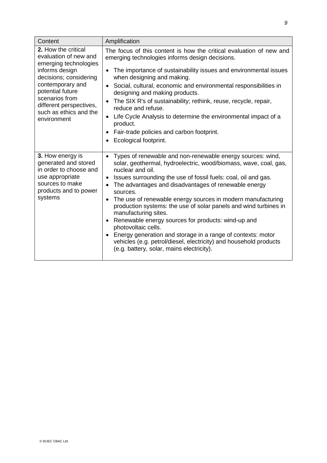| Content                                                                                                                                                                                                                                         | Amplification                                                                                                                                                                                                                                                                                                                                                                                                                                                                                                                                                                                                                                                                                                          |
|-------------------------------------------------------------------------------------------------------------------------------------------------------------------------------------------------------------------------------------------------|------------------------------------------------------------------------------------------------------------------------------------------------------------------------------------------------------------------------------------------------------------------------------------------------------------------------------------------------------------------------------------------------------------------------------------------------------------------------------------------------------------------------------------------------------------------------------------------------------------------------------------------------------------------------------------------------------------------------|
| 2. How the critical<br>evaluation of new and<br>emerging technologies<br>informs design<br>decisions; considering<br>contemporary and<br>potential future<br>scenarios from<br>different perspectives,<br>such as ethics and the<br>environment | The focus of this content is how the critical evaluation of new and<br>emerging technologies informs design decisions.<br>The importance of sustainability issues and environmental issues<br>$\bullet$<br>when designing and making.<br>• Social, cultural, economic and environmental responsibilities in<br>designing and making products.<br>The SIX R's of sustainability; rethink, reuse, recycle, repair,<br>reduce and refuse.<br>Life Cycle Analysis to determine the environmental impact of a<br>product.<br>Fair-trade policies and carbon footprint.<br>Ecological footprint.                                                                                                                             |
| 3. How energy is<br>generated and stored<br>in order to choose and<br>use appropriate<br>sources to make<br>products and to power<br>systems                                                                                                    | Types of renewable and non-renewable energy sources: wind,<br>solar, geothermal, hydroelectric, wood/biomass, wave, coal, gas,<br>nuclear and oil.<br>Issues surrounding the use of fossil fuels: coal, oil and gas.<br>٠<br>The advantages and disadvantages of renewable energy<br>sources.<br>The use of renewable energy sources in modern manufacturing<br>production systems: the use of solar panels and wind turbines in<br>manufacturing sites.<br>Renewable energy sources for products: wind-up and<br>photovoltaic cells.<br>Energy generation and storage in a range of contexts: motor<br>vehicles (e.g. petrol/diesel, electricity) and household products<br>(e.g. battery, solar, mains electricity). |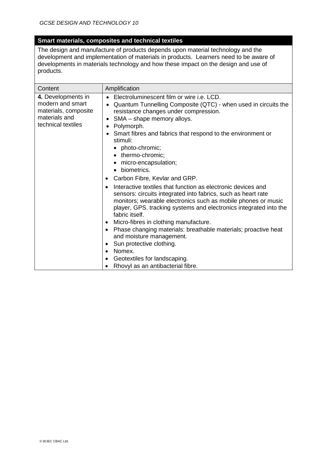### **Smart materials, composites and technical textiles**

The design and manufacture of products depends upon material technology and the development and implementation of materials in products. Learners need to be aware of developments in materials technology and how these impact on the design and use of products.

| Content                                                                                               | Amplification                                                                                                                                                                                                                                                                                                                                                                                                      |
|-------------------------------------------------------------------------------------------------------|--------------------------------------------------------------------------------------------------------------------------------------------------------------------------------------------------------------------------------------------------------------------------------------------------------------------------------------------------------------------------------------------------------------------|
| 4. Developments in<br>modern and smart<br>materials, composite<br>materials and<br>technical textiles | Electroluminescent film or wire <i>i.e.</i> LCD.<br>Quantum Tunnelling Composite (QTC) - when used in circuits the<br>resistance changes under compression.<br>SMA - shape memory alloys.<br>$\bullet$<br>Polymorph.                                                                                                                                                                                               |
|                                                                                                       | Smart fibres and fabrics that respond to the environment or<br>stimuli:<br>photo-chromic;<br>• thermo-chromic;<br>micro-encapsulation;<br>• biometrics.<br>Carbon Fibre, Kevlar and GRP.<br>٠                                                                                                                                                                                                                      |
|                                                                                                       | Interactive textiles that function as electronic devices and<br>sensors: circuits integrated into fabrics, such as heart rate<br>monitors; wearable electronics such as mobile phones or music<br>player, GPS, tracking systems and electronics integrated into the<br>fabric itself.<br>Micro-fibres in clothing manufacture.<br>٠<br>Phase changing materials: breathable materials; proactive heat<br>$\bullet$ |
|                                                                                                       | and moisture management.<br>Sun protective clothing.<br>$\bullet$<br>Nomex.<br>Geotextiles for landscaping.<br>Rhovyl as an antibacterial fibre.                                                                                                                                                                                                                                                                   |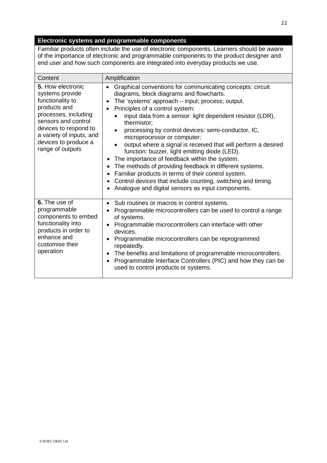### **Electronic systems and programmable components**

Familiar products often include the use of electronic components. Learners should be aware of the importance of electronic and programmable components to the product designer and end user and how such components are integrated into everyday products we use.

| Content                                                                                                                                                                                                                  | Amplification                                                                                                                                                                                                                                                                                                                                                                                                                                                                                                                                                                                                                                                                                                                                                                |
|--------------------------------------------------------------------------------------------------------------------------------------------------------------------------------------------------------------------------|------------------------------------------------------------------------------------------------------------------------------------------------------------------------------------------------------------------------------------------------------------------------------------------------------------------------------------------------------------------------------------------------------------------------------------------------------------------------------------------------------------------------------------------------------------------------------------------------------------------------------------------------------------------------------------------------------------------------------------------------------------------------------|
| 5. How electronic<br>systems provide<br>functionality to<br>products and<br>processes, including<br>sensors and control<br>devices to respond to<br>a variety of inputs, and<br>devices to produce a<br>range of outputs | Graphical conventions for communicating concepts: circuit<br>diagrams, block diagrams and flowcharts.<br>The 'systems' approach – input; process; output.<br>Principles of a control system:<br>input data from a sensor: light dependent resistor (LDR),<br>thermistor;<br>processing by control devices: semi-conductor, IC,<br>microprocessor or computer;<br>output where a signal is received that will perform a desired<br>function: buzzer, light emitting diode (LED).<br>The importance of feedback within the system.<br>The methods of providing feedback in different systems.<br>Familiar products in terms of their control system.<br>٠<br>Control devices that include counting, switching and timing.<br>Analogue and digital sensors as input components. |
| 6. The use of<br>programmable<br>components to embed<br>functionality into<br>products in order to<br>enhance and<br>customise their<br>operation                                                                        | Sub routines or macros in control systems.<br>Programmable microcontrollers can be used to control a range<br>of systems.<br>Programmable microcontrollers can interface with other<br>devices.<br>Programmable microcontrollers can be reprogrammed<br>repeatedly.<br>The benefits and limitations of programmable microcontrollers.<br>٠<br>Programmable Interface Controllers (PIC) and how they can be<br>used to control products or systems.                                                                                                                                                                                                                                                                                                                           |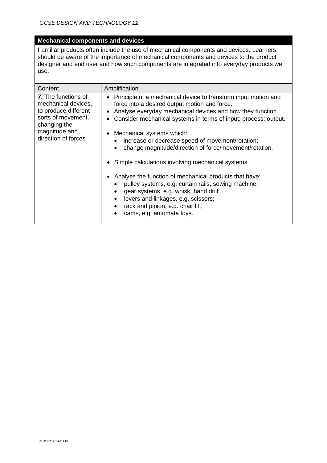### **Mechanical components and devices**

Familiar products often include the use of mechanical components and devices. Learners should be aware of the importance of mechanical components and devices to the product designer and end user and how such components are integrated into everyday products we use.

| Content                                                                                                                                                 | Amplification                                                                                                                                                                                                                                                                                                                                                                                                                                                                                                                                                                                                                                                                                                                                                                                            |  |
|---------------------------------------------------------------------------------------------------------------------------------------------------------|----------------------------------------------------------------------------------------------------------------------------------------------------------------------------------------------------------------------------------------------------------------------------------------------------------------------------------------------------------------------------------------------------------------------------------------------------------------------------------------------------------------------------------------------------------------------------------------------------------------------------------------------------------------------------------------------------------------------------------------------------------------------------------------------------------|--|
| <b>7.</b> The functions of<br>mechanical devices,<br>to produce different<br>sorts of movement,<br>changing the<br>magnitude and<br>direction of forces | • Principle of a mechanical device to transform input motion and<br>force into a desired output motion and force.<br>Analyse everyday mechanical devices and how they function.<br>Consider mechanical systems in terms of input; process; output.<br>Mechanical systems which:<br>increase or decrease speed of movement/rotation;<br>change magnitude/direction of force/movement/rotation.<br>$\bullet$<br>Simple calculations involving mechanical systems.<br>$\bullet$<br>Analyse the function of mechanical products that have:<br>٠<br>pulley systems, e.g. curtain rails, sewing machine;<br>$\bullet$<br>gear systems, e.g. whisk, hand drill;<br>$\bullet$<br>levers and linkages, e.g. scissors;<br>$\bullet$<br>rack and pinion, e.g. chair lift;<br>$\bullet$<br>cams, e.g. automata toys. |  |
|                                                                                                                                                         |                                                                                                                                                                                                                                                                                                                                                                                                                                                                                                                                                                                                                                                                                                                                                                                                          |  |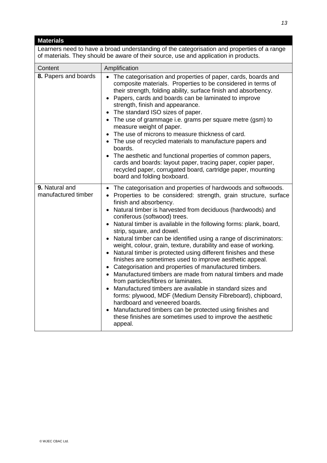| <b>Materials</b>                                                                                                                                                                    |                                                                                                                                                                                                                                                                                                                                                                                                                                                                                                                                                                                                                                                                                                                                                                                                                                                                                                                                                                                                                                                                                                      |  |  |
|-------------------------------------------------------------------------------------------------------------------------------------------------------------------------------------|------------------------------------------------------------------------------------------------------------------------------------------------------------------------------------------------------------------------------------------------------------------------------------------------------------------------------------------------------------------------------------------------------------------------------------------------------------------------------------------------------------------------------------------------------------------------------------------------------------------------------------------------------------------------------------------------------------------------------------------------------------------------------------------------------------------------------------------------------------------------------------------------------------------------------------------------------------------------------------------------------------------------------------------------------------------------------------------------------|--|--|
| Learners need to have a broad understanding of the categorisation and properties of a range<br>of materials. They should be aware of their source, use and application in products. |                                                                                                                                                                                                                                                                                                                                                                                                                                                                                                                                                                                                                                                                                                                                                                                                                                                                                                                                                                                                                                                                                                      |  |  |
| Content                                                                                                                                                                             | Amplification                                                                                                                                                                                                                                                                                                                                                                                                                                                                                                                                                                                                                                                                                                                                                                                                                                                                                                                                                                                                                                                                                        |  |  |
| 8. Papers and boards                                                                                                                                                                | The categorisation and properties of paper, cards, boards and<br>$\bullet$<br>composite materials. Properties to be considered in terms of<br>their strength, folding ability, surface finish and absorbency.<br>Papers, cards and boards can be laminated to improve<br>strength, finish and appearance.<br>The standard ISO sizes of paper.<br>The use of grammage i.e. grams per square metre (gsm) to<br>measure weight of paper.<br>The use of microns to measure thickness of card.<br>The use of recycled materials to manufacture papers and<br>boards.<br>The aesthetic and functional properties of common papers,<br>cards and boards: layout paper, tracing paper, copier paper,<br>recycled paper, corrugated board, cartridge paper, mounting<br>board and folding boxboard.                                                                                                                                                                                                                                                                                                           |  |  |
| 9. Natural and<br>manufactured timber                                                                                                                                               | The categorisation and properties of hardwoods and softwoods.<br>• Properties to be considered: strength, grain structure, surface<br>finish and absorbency.<br>Natural timber is harvested from deciduous (hardwoods) and<br>coniferous (softwood) trees.<br>Natural timber is available in the following forms: plank, board,<br>strip, square, and dowel.<br>Natural timber can be identified using a range of discriminators:<br>weight, colour, grain, texture, durability and ease of working.<br>Natural timber is protected using different finishes and these<br>finishes are sometimes used to improve aesthetic appeal.<br>Categorisation and properties of manufactured timbers.<br>Manufactured timbers are made from natural timbers and made<br>from particles/fibres or laminates.<br>Manufactured timbers are available in standard sizes and<br>forms: plywood, MDF (Medium Density Fibreboard), chipboard,<br>hardboard and veneered boards.<br>Manufactured timbers can be protected using finishes and<br>these finishes are sometimes used to improve the aesthetic<br>appeal. |  |  |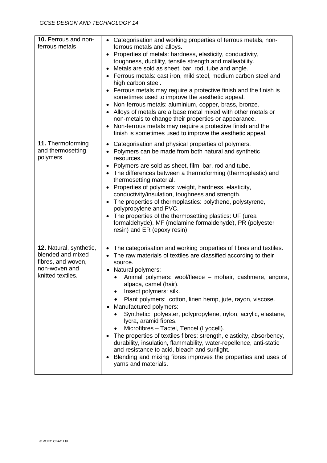| 10. Ferrous and non-<br>ferrous metals                                                                   | • Categorisation and working properties of ferrous metals, non-<br>ferrous metals and alloys.<br>Properties of metals: hardness, elasticity, conductivity,<br>toughness, ductility, tensile strength and malleability.<br>Metals are sold as sheet, bar, rod, tube and angle.<br>• Ferrous metals: cast iron, mild steel, medium carbon steel and<br>high carbon steel.<br>• Ferrous metals may require a protective finish and the finish is<br>sometimes used to improve the aesthetic appeal.<br>Non-ferrous metals: aluminium, copper, brass, bronze.<br>• Alloys of metals are a base metal mixed with other metals or<br>non-metals to change their properties or appearance.<br>Non-ferrous metals may require a protective finish and the<br>finish is sometimes used to improve the aesthetic appeal.           |
|----------------------------------------------------------------------------------------------------------|--------------------------------------------------------------------------------------------------------------------------------------------------------------------------------------------------------------------------------------------------------------------------------------------------------------------------------------------------------------------------------------------------------------------------------------------------------------------------------------------------------------------------------------------------------------------------------------------------------------------------------------------------------------------------------------------------------------------------------------------------------------------------------------------------------------------------|
| 11. Thermoforming<br>and thermosetting<br>polymers                                                       | Categorisation and physical properties of polymers.<br>Polymers can be made from both natural and synthetic<br>resources.<br>• Polymers are sold as sheet, film, bar, rod and tube.<br>The differences between a thermoforming (thermoplastic) and<br>thermosetting material.<br>Properties of polymers: weight, hardness, elasticity,<br>conductivity/insulation, toughness and strength.<br>The properties of thermoplastics: polythene, polystyrene,<br>polypropylene and PVC.<br>The properties of the thermosetting plastics: UF (urea<br>formaldehyde), MF (melamine formaldehyde), PR (polyester<br>resin) and ER (epoxy resin).                                                                                                                                                                                  |
| 12. Natural, synthetic,<br>blended and mixed<br>fibres, and woven,<br>non-woven and<br>knitted textiles. | • The categorisation and working properties of fibres and textiles.<br>The raw materials of textiles are classified according to their<br>source.<br>Natural polymers:<br>Animal polymers: wool/fleece - mohair, cashmere, angora,<br>$\bullet$<br>alpaca, camel (hair).<br>Insect polymers: silk.<br>Plant polymers: cotton, linen hemp, jute, rayon, viscose.<br>Manufactured polymers:<br>Synthetic: polyester, polypropylene, nylon, acrylic, elastane,<br>lycra, aramid fibres.<br>Microfibres - Tactel, Tencel (Lyocell).<br>The properties of textiles fibres: strength, elasticity, absorbency,<br>durability, insulation, flammability, water-repellence, anti-static<br>and resistance to acid, bleach and sunlight.<br>Blending and mixing fibres improves the properties and uses of<br>yarns and materials. |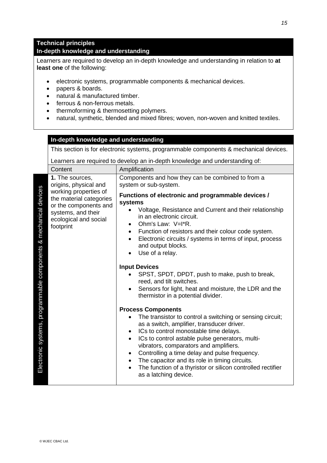### **Technical principles In-depth knowledge and understanding**

Learners are required to develop an in-depth knowledge and understanding in relation to **at least one** of the following:

- electronic systems, programmable components & mechanical devices.
- papers & boards.
- natural & manufactured timber.
- ferrous & non-ferrous metals.
- thermoforming & thermosetting polymers.
- natural, synthetic, blended and mixed fibres; woven, non-woven and knitted textiles.

#### **In-depth knowledge and understanding**

This section is for electronic systems, programmable components & mechanical devices.

|                                                                  | Content                                                                                                                                                                           | Amplification                                                                                                                                                                                                                                                                                                                                                                                                                                                                                                                                                                                                                                                                                                                                                                                                                                                                                                                                                                                                                                                                                                                                                                         |
|------------------------------------------------------------------|-----------------------------------------------------------------------------------------------------------------------------------------------------------------------------------|---------------------------------------------------------------------------------------------------------------------------------------------------------------------------------------------------------------------------------------------------------------------------------------------------------------------------------------------------------------------------------------------------------------------------------------------------------------------------------------------------------------------------------------------------------------------------------------------------------------------------------------------------------------------------------------------------------------------------------------------------------------------------------------------------------------------------------------------------------------------------------------------------------------------------------------------------------------------------------------------------------------------------------------------------------------------------------------------------------------------------------------------------------------------------------------|
| Electronic systems, programmable components & mechanical devices | 1. The sources,<br>origins, physical and<br>working properties of<br>the material categories<br>or the components and<br>systems, and their<br>ecological and social<br>footprint | Components and how they can be combined to from a<br>system or sub-system.<br>Functions of electronic and programmable devices /<br>systems<br>Voltage, Resistance and Current and their relationship<br>in an electronic circuit.<br>Ohm's Law: V=I <sup>*</sup> R.<br>$\bullet$<br>Function of resistors and their colour code system.<br>$\bullet$<br>Electronic circuits / systems in terms of input, process<br>and output blocks.<br>Use of a relay.<br><b>Input Devices</b><br>SPST, SPDT, DPDT, push to make, push to break,<br>reed, and tilt switches.<br>Sensors for light, heat and moisture, the LDR and the<br>thermistor in a potential divider.<br><b>Process Components</b><br>The transistor to control a switching or sensing circuit;<br>as a switch, amplifier, transducer driver.<br>ICs to control monostable time delays.<br>٠<br>ICs to control astable pulse generators, multi-<br>$\bullet$<br>vibrators, comparators and amplifiers.<br>Controlling a time delay and pulse frequency.<br>$\bullet$<br>The capacitor and its role in timing circuits.<br>$\bullet$<br>The function of a thyristor or silicon controlled rectifier<br>as a latching device. |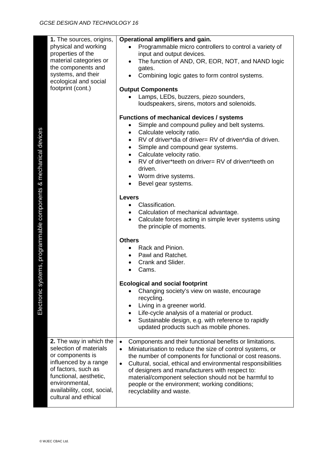| stems, programmable components & mechanical devices<br>Electronic sy | 1. The sources, origins,<br>physical and working<br>properties of the<br>material categories or<br>the components and<br>systems, and their<br>ecological and social<br>footprint (cont.)                                | Operational amplifiers and gain.<br>Programmable micro controllers to control a variety of<br>input and output devices.<br>The function of AND, OR, EOR, NOT, and NAND logic<br>gates.<br>Combining logic gates to form control systems.<br><b>Output Components</b><br>Lamps, LEDs, buzzers, piezo sounders,<br>loudspeakers, sirens, motors and solenoids.<br><b>Functions of mechanical devices / systems</b><br>Simple and compound pulley and belt systems.<br>Calculate velocity ratio.<br>٠<br>RV of driver*dia of driver= RV of driven*dia of driven.<br>Simple and compound gear systems.<br>٠<br>Calculate velocity ratio.<br>$\bullet$<br>RV of driver*teeth on driver= RV of driven*teeth on<br>driven.<br>Worm drive systems.<br>Bevel gear systems.<br><b>Levers</b><br>Classification.<br>Calculation of mechanical advantage.<br>Calculate forces acting in simple lever systems using<br>the principle of moments.<br><b>Others</b><br>Rack and Pinion.<br>Pawl and Ratchet.<br>Crank and Slider.<br>Cams.<br><b>Ecological and social footprint</b><br>Changing society's view on waste, encourage<br>recycling.<br>Living in a greener world.<br>Life-cycle analysis of a material or product.<br>Sustainable design, e.g. with reference to rapidly<br>updated products such as mobile phones. |
|----------------------------------------------------------------------|--------------------------------------------------------------------------------------------------------------------------------------------------------------------------------------------------------------------------|--------------------------------------------------------------------------------------------------------------------------------------------------------------------------------------------------------------------------------------------------------------------------------------------------------------------------------------------------------------------------------------------------------------------------------------------------------------------------------------------------------------------------------------------------------------------------------------------------------------------------------------------------------------------------------------------------------------------------------------------------------------------------------------------------------------------------------------------------------------------------------------------------------------------------------------------------------------------------------------------------------------------------------------------------------------------------------------------------------------------------------------------------------------------------------------------------------------------------------------------------------------------------------------------------------------------|
|                                                                      | 2. The way in which the<br>selection of materials<br>or components is<br>influenced by a range<br>of factors, such as<br>functional, aesthetic,<br>environmental,<br>availability, cost, social,<br>cultural and ethical | Components and their functional benefits or limitations.<br>$\bullet$<br>Miniaturisation to reduce the size of control systems, or<br>$\bullet$<br>the number of components for functional or cost reasons.<br>Cultural, social, ethical and environmental responsibilities<br>$\bullet$<br>of designers and manufacturers with respect to:<br>material/component selection should not be harmful to<br>people or the environment; working conditions;<br>recyclability and waste.                                                                                                                                                                                                                                                                                                                                                                                                                                                                                                                                                                                                                                                                                                                                                                                                                                 |
|                                                                      | © WJEC CBAC Ltd.                                                                                                                                                                                                         |                                                                                                                                                                                                                                                                                                                                                                                                                                                                                                                                                                                                                                                                                                                                                                                                                                                                                                                                                                                                                                                                                                                                                                                                                                                                                                                    |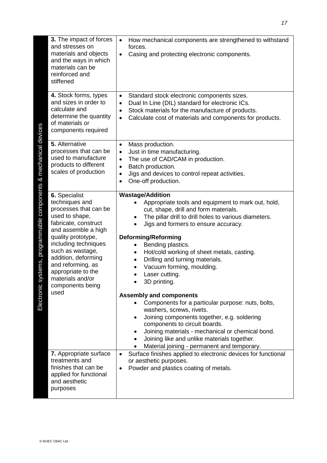|                                                                     | 3. The impact of forces<br>and stresses on<br>materials and objects<br>and the ways in which<br>materials can be<br>reinforced and<br>stiffened                                                                                                                                                                                                                                                                              | How mechanical components are strengthened to withstand<br>$\bullet$<br>forces.<br>Casing and protecting electronic components.<br>$\bullet$                                                                                                                                                                                                                                                                                                                                                                                                                                                                                                                                                                                                                                                                                                                                                                                                                                  |
|---------------------------------------------------------------------|------------------------------------------------------------------------------------------------------------------------------------------------------------------------------------------------------------------------------------------------------------------------------------------------------------------------------------------------------------------------------------------------------------------------------|-------------------------------------------------------------------------------------------------------------------------------------------------------------------------------------------------------------------------------------------------------------------------------------------------------------------------------------------------------------------------------------------------------------------------------------------------------------------------------------------------------------------------------------------------------------------------------------------------------------------------------------------------------------------------------------------------------------------------------------------------------------------------------------------------------------------------------------------------------------------------------------------------------------------------------------------------------------------------------|
|                                                                     | 4. Stock forms, types<br>and sizes in order to<br>calculate and<br>determine the quantity<br>of materials or<br>components required                                                                                                                                                                                                                                                                                          | Standard stock electronic components sizes.<br>$\bullet$<br>Dual In Line (DIL) standard for electronic ICs.<br>$\bullet$<br>Stock materials for the manufacture of products.<br>$\bullet$<br>Calculate cost of materials and components for products.<br>$\bullet$                                                                                                                                                                                                                                                                                                                                                                                                                                                                                                                                                                                                                                                                                                            |
|                                                                     | 5. Alternative<br>processes that can be<br>used to manufacture<br>products to different<br>scales of production                                                                                                                                                                                                                                                                                                              | Mass production.<br>$\bullet$<br>Just in time manufacturing.<br>$\bullet$<br>The use of CAD/CAM in production.<br>$\bullet$<br>Batch production.<br>$\bullet$<br>Jigs and devices to control repeat activities.<br>$\bullet$<br>One-off production.<br>$\bullet$                                                                                                                                                                                                                                                                                                                                                                                                                                                                                                                                                                                                                                                                                                              |
| systems, programmable components & mechanical devices<br>Electronic | 6. Specialist<br>techniques and<br>processes that can be<br>used to shape,<br>fabricate, construct<br>and assemble a high<br>quality prototype,<br>including techniques<br>such as wastage,<br>addition, deforming<br>and reforming, as<br>appropriate to the<br>materials and/or<br>components being<br>used<br>7. Appropriate surface<br>treatments and<br>finishes that can be<br>applied for functional<br>and aesthetic | <b>Wastage/Addition</b><br>Appropriate tools and equipment to mark out, hold,<br>cut, shape, drill and form materials.<br>The pillar drill to drill holes to various diameters.<br>٠<br>Jigs and formers to ensure accuracy.<br><b>Deforming/Reforming</b><br>Bending plastics.<br>$\bullet$<br>Hot/cold working of sheet metals, casting.<br>$\bullet$<br>Drilling and turning materials.<br>Vacuum forming, moulding.<br>Laser cutting.<br>3D printing.<br><b>Assembly and components</b><br>Components for a particular purpose: nuts, bolts,<br>washers, screws, rivets.<br>Joining components together, e.g. soldering<br>$\bullet$<br>components to circuit boards.<br>Joining materials - mechanical or chemical bond.<br>Joining like and unlike materials together.<br>Material joining - permanent and temporary.<br>Surface finishes applied to electronic devices for functional<br>$\bullet$<br>or aesthetic purposes.<br>Powder and plastics coating of metals. |
|                                                                     | purposes<br>© WJEC CBAC Ltd.                                                                                                                                                                                                                                                                                                                                                                                                 |                                                                                                                                                                                                                                                                                                                                                                                                                                                                                                                                                                                                                                                                                                                                                                                                                                                                                                                                                                               |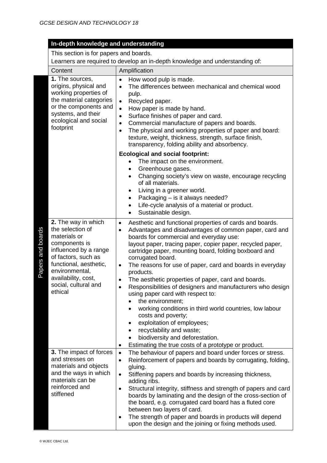|  | In-depth knowledge and understanding |
|--|--------------------------------------|
|  |                                      |

This section is for papers and boards.

|                   | Content                                                                                                                                                                                                                        | Amplification                                                                                                                                                                                                                                                                                                                                                                                                                                                                                                                                                                                                                                                                                                                                                                                                                                                                                      |  |
|-------------------|--------------------------------------------------------------------------------------------------------------------------------------------------------------------------------------------------------------------------------|----------------------------------------------------------------------------------------------------------------------------------------------------------------------------------------------------------------------------------------------------------------------------------------------------------------------------------------------------------------------------------------------------------------------------------------------------------------------------------------------------------------------------------------------------------------------------------------------------------------------------------------------------------------------------------------------------------------------------------------------------------------------------------------------------------------------------------------------------------------------------------------------------|--|
|                   | 1. The sources,<br>origins, physical and<br>working properties of<br>the material categories<br>or the components and<br>systems, and their<br>ecological and social<br>footprint                                              | How wood pulp is made.<br>$\bullet$<br>The differences between mechanical and chemical wood<br>$\bullet$<br>pulp.<br>Recycled paper.<br>$\bullet$<br>How paper is made by hand.<br>$\bullet$<br>Surface finishes of paper and card.<br>$\bullet$<br>Commercial manufacture of papers and boards.<br>$\bullet$<br>The physical and working properties of paper and board:<br>$\bullet$<br>texture, weight, thickness, strength, surface finish,<br>transparency, folding ability and absorbency.                                                                                                                                                                                                                                                                                                                                                                                                    |  |
|                   |                                                                                                                                                                                                                                | <b>Ecological and social footprint:</b><br>The impact on the environment.<br>Greenhouse gases.<br>$\bullet$<br>Changing society's view on waste, encourage recycling<br>of all materials.<br>Living in a greener world.<br>Packaging – is it always needed?<br>$\bullet$<br>Life-cycle analysis of a material or product.<br>$\bullet$<br>Sustainable design.                                                                                                                                                                                                                                                                                                                                                                                                                                                                                                                                      |  |
| Papers and boards | 2. The way in which<br>the selection of<br>materials or<br>components is<br>influenced by a range<br>of factors, such as<br>functional, aesthetic,<br>environmental,<br>availability, cost,<br>social, cultural and<br>ethical | Aesthetic and functional properties of cards and boards.<br>$\bullet$<br>Advantages and disadvantages of common paper, card and<br>$\bullet$<br>boards for commercial and everyday use:<br>layout paper, tracing paper, copier paper, recycled paper,<br>cartridge paper, mounting board, folding boxboard and<br>corrugated board.<br>The reasons for use of paper, card and boards in everyday<br>$\bullet$<br>products.<br>The aesthetic properties of paper, card and boards.<br>$\bullet$<br>Responsibilities of designers and manufacturers who design<br>$\bullet$<br>using paper card with respect to:<br>the environment;<br>working conditions in third world countries, low labour<br>costs and poverty;<br>exploitation of employees;<br>recyclability and waste;<br>$\bullet$<br>biodiversity and deforestation.<br>Estimating the true costs of a prototype or product.<br>$\bullet$ |  |
|                   | 3. The impact of forces<br>and stresses on<br>materials and objects<br>and the ways in which<br>materials can be<br>reinforced and<br>stiffened                                                                                | The behaviour of papers and board under forces or stress.<br>$\bullet$<br>Reinforcement of papers and boards by corrugating, folding,<br>$\bullet$<br>gluing.<br>Stiffening papers and boards by increasing thickness,<br>$\bullet$<br>adding ribs.<br>Structural integrity, stiffness and strength of papers and card<br>$\bullet$<br>boards by laminating and the design of the cross-section of<br>the board, e.g. corrugated card board has a fluted core<br>between two layers of card.<br>The strength of paper and boards in products will depend<br>$\bullet$<br>upon the design and the joining or fixing methods used.                                                                                                                                                                                                                                                                   |  |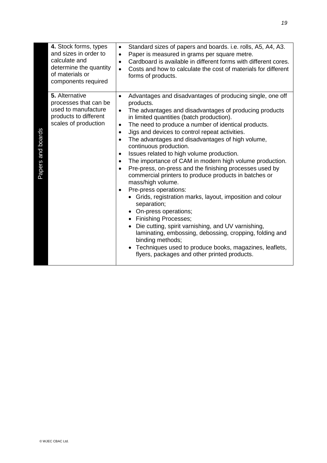|                   | 4. Stock forms, types<br>and sizes in order to<br>calculate and<br>determine the quantity<br>of materials or<br>components required | $\bullet$<br>$\bullet$<br>$\bullet$<br>$\bullet$                                                                  | Standard sizes of papers and boards. i.e. rolls, A5, A4, A3.<br>Paper is measured in grams per square metre.<br>Cardboard is available in different forms with different cores.<br>Costs and how to calculate the cost of materials for different<br>forms of products.                                                                                                                                                                                                                                                                                                                                                                                                                                                                                                                                                                                                                                                                                                                                                            |
|-------------------|-------------------------------------------------------------------------------------------------------------------------------------|-------------------------------------------------------------------------------------------------------------------|------------------------------------------------------------------------------------------------------------------------------------------------------------------------------------------------------------------------------------------------------------------------------------------------------------------------------------------------------------------------------------------------------------------------------------------------------------------------------------------------------------------------------------------------------------------------------------------------------------------------------------------------------------------------------------------------------------------------------------------------------------------------------------------------------------------------------------------------------------------------------------------------------------------------------------------------------------------------------------------------------------------------------------|
| Papers and boards | 5. Alternative<br>processes that can be<br>used to manufacture<br>products to different<br>scales of production                     | $\bullet$<br>$\bullet$<br>$\bullet$<br>$\bullet$<br>$\bullet$<br>$\bullet$<br>$\bullet$<br>$\bullet$<br>$\bullet$ | Advantages and disadvantages of producing single, one off<br>products.<br>The advantages and disadvantages of producing products<br>in limited quantities (batch production).<br>The need to produce a number of identical products.<br>Jigs and devices to control repeat activities.<br>The advantages and disadvantages of high volume,<br>continuous production.<br>Issues related to high volume production.<br>The importance of CAM in modern high volume production.<br>Pre-press, on-press and the finishing processes used by<br>commercial printers to produce products in batches or<br>mass/high volume.<br>Pre-press operations:<br>• Grids, registration marks, layout, imposition and colour<br>separation;<br>• On-press operations;<br>• Finishing Processes;<br>• Die cutting, spirit varnishing, and UV varnishing,<br>laminating, embossing, debossing, cropping, folding and<br>binding methods;<br>• Techniques used to produce books, magazines, leaflets,<br>flyers, packages and other printed products. |
|                   | © WJEC CBAC Ltd.                                                                                                                    |                                                                                                                   |                                                                                                                                                                                                                                                                                                                                                                                                                                                                                                                                                                                                                                                                                                                                                                                                                                                                                                                                                                                                                                    |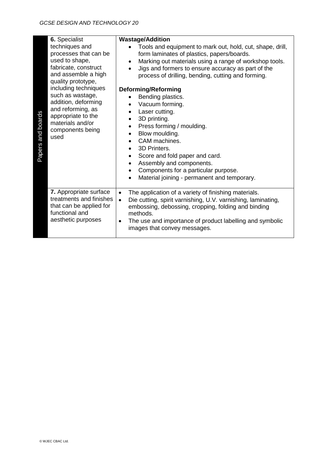| Papers and boards | 6. Specialist<br>techniques and<br>processes that can be<br>used to shape,<br>fabricate, construct<br>and assemble a high<br>quality prototype,<br>including techniques<br>such as wastage,<br>addition, deforming<br>and reforming, as<br>appropriate to the<br>materials and/or<br>components being<br>used | <b>Wastage/Addition</b><br>Tools and equipment to mark out, hold, cut, shape, drill,<br>form laminates of plastics, papers/boards.<br>Marking out materials using a range of workshop tools.<br>Jigs and formers to ensure accuracy as part of the<br>process of drilling, bending, cutting and forming.<br><b>Deforming/Reforming</b><br>Bending plastics.<br>$\bullet$<br>Vacuum forming.<br>Laser cutting.<br>٠<br>3D printing.<br>٠<br>Press forming / moulding.<br>$\bullet$<br>Blow moulding.<br>$\bullet$<br>CAM machines.<br>$\bullet$<br>3D Printers.<br>٠<br>Score and fold paper and card.<br>$\bullet$<br>Assembly and components.<br>$\bullet$<br>Components for a particular purpose.<br>٠<br>Material joining - permanent and temporary. |
|-------------------|---------------------------------------------------------------------------------------------------------------------------------------------------------------------------------------------------------------------------------------------------------------------------------------------------------------|---------------------------------------------------------------------------------------------------------------------------------------------------------------------------------------------------------------------------------------------------------------------------------------------------------------------------------------------------------------------------------------------------------------------------------------------------------------------------------------------------------------------------------------------------------------------------------------------------------------------------------------------------------------------------------------------------------------------------------------------------------|
|                   | 7. Appropriate surface<br>treatments and finishes<br>that can be applied for<br>functional and<br>aesthetic purposes                                                                                                                                                                                          | The application of a variety of finishing materials.<br>$\bullet$<br>Die cutting, spirit varnishing, U.V. varnishing, laminating,<br>$\bullet$<br>embossing, debossing, cropping, folding and binding<br>methods.<br>The use and importance of product labelling and symbolic<br>$\bullet$<br>images that convey messages.                                                                                                                                                                                                                                                                                                                                                                                                                              |
|                   |                                                                                                                                                                                                                                                                                                               |                                                                                                                                                                                                                                                                                                                                                                                                                                                                                                                                                                                                                                                                                                                                                         |
|                   | © WJEC CBAC Ltd.                                                                                                                                                                                                                                                                                              |                                                                                                                                                                                                                                                                                                                                                                                                                                                                                                                                                                                                                                                                                                                                                         |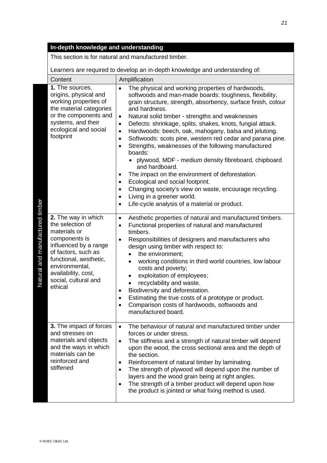This section is for natural and manufactured timber.

| Amplification<br>Content        |                                                                                                                                                                                                                                |                                                                                                                                                                                                                                                                                                                                                                                                                                                                                                                                                                                                                                                                                                                                                                                                                                                                                                                                                 |
|---------------------------------|--------------------------------------------------------------------------------------------------------------------------------------------------------------------------------------------------------------------------------|-------------------------------------------------------------------------------------------------------------------------------------------------------------------------------------------------------------------------------------------------------------------------------------------------------------------------------------------------------------------------------------------------------------------------------------------------------------------------------------------------------------------------------------------------------------------------------------------------------------------------------------------------------------------------------------------------------------------------------------------------------------------------------------------------------------------------------------------------------------------------------------------------------------------------------------------------|
| Natural and manufactured timber | 1. The sources,<br>origins, physical and<br>working properties of<br>the material categories<br>or the components and<br>systems, and their<br>ecological and social<br>footprint                                              | The physical and working properties of hardwoods,<br>$\bullet$<br>softwoods and man-made boards: toughness, flexibility,<br>grain structure, strength, absorbency, surface finish, colour<br>and hardness.<br>Natural solid timber - strengths and weaknesses<br>$\bullet$<br>Defects: shrinkage, splits, shakes, knots, fungial attack.<br>$\bullet$<br>Hardwoods: beech, oak, mahogany, balsa and jelutong.<br>$\bullet$<br>Softwoods: scots pine, western red cedar and parana pine.<br>$\bullet$<br>Strengths, weaknesses of the following manufactured<br>$\bullet$<br>boards:<br>• plywood, MDF - medium density fibreboard, chipboard<br>and hardboard.<br>The impact on the environment of deforestation.<br>٠<br>Ecological and social footprint.<br>$\bullet$<br>Changing society's view on waste, encourage recycling.<br>٠<br>Living in a greener world.<br>$\bullet$<br>Life-cycle analysis of a material or product.<br>$\bullet$ |
|                                 | 2. The way in which<br>the selection of<br>materials or<br>components is<br>influenced by a range<br>of factors, such as<br>functional, aesthetic,<br>environmental,<br>availability, cost,<br>social, cultural and<br>ethical | Aesthetic properties of natural and manufactured timbers.<br>$\bullet$<br>Functional properties of natural and manufactured<br>$\bullet$<br>timbers.<br>Responsibilities of designers and manufacturers who<br>design using timber with respect to:<br>the environment;<br>$\bullet$<br>working conditions in third world countries, low labour<br>$\bullet$<br>costs and poverty;<br>exploitation of employees;<br>recyclability and waste.<br>Biodiversity and deforestation.<br>٠<br>Estimating the true costs of a prototype or product.<br>$\bullet$<br>Comparison costs of hardwoods, softwoods and<br>$\bullet$<br>manufactured board.                                                                                                                                                                                                                                                                                                   |
|                                 | 3. The impact of forces<br>and stresses on<br>materials and objects<br>and the ways in which<br>materials can be<br>reinforced and<br>stiffened                                                                                | The behaviour of natural and manufactured timber under<br>$\bullet$<br>forces or under stress.<br>The stiffness and a strength of natural timber will depend<br>$\bullet$<br>upon the wood, the cross sectional area and the depth of<br>the section.<br>Reinforcement of natural timber by laminating.<br>٠<br>The strength of plywood will depend upon the number of<br>$\bullet$<br>layers and the wood grain being at right angles.<br>The strength of a timber product will depend upon how<br>٠<br>the product is jointed or what fixing method is used.                                                                                                                                                                                                                                                                                                                                                                                  |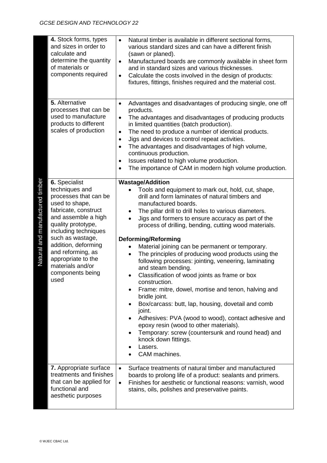| 4. Stock forms, types<br>and sizes in order to<br>calculate and<br>determine the quantity<br>of materials or<br>components required                                                                                                                                                                                                              | Natural timber is available in different sectional forms,<br>various standard sizes and can have a different finish<br>(sawn or planed).<br>Manufactured boards are commonly available in sheet form<br>$\bullet$<br>and in standard sizes and various thicknesses.<br>Calculate the costs involved in the design of products:<br>$\bullet$<br>fixtures, fittings, finishes required and the material cost.                                                                                                                                                                                                                                                                                                                                                                                                                                                                                                                                                                |
|--------------------------------------------------------------------------------------------------------------------------------------------------------------------------------------------------------------------------------------------------------------------------------------------------------------------------------------------------|----------------------------------------------------------------------------------------------------------------------------------------------------------------------------------------------------------------------------------------------------------------------------------------------------------------------------------------------------------------------------------------------------------------------------------------------------------------------------------------------------------------------------------------------------------------------------------------------------------------------------------------------------------------------------------------------------------------------------------------------------------------------------------------------------------------------------------------------------------------------------------------------------------------------------------------------------------------------------|
| 5. Alternative<br>processes that can be<br>used to manufacture<br>products to different<br>scales of production                                                                                                                                                                                                                                  | Advantages and disadvantages of producing single, one off<br>$\bullet$<br>products.<br>The advantages and disadvantages of producing products<br>$\bullet$<br>in limited quantities (batch production).<br>The need to produce a number of identical products.<br>$\bullet$<br>Jigs and devices to control repeat activities.<br>$\bullet$<br>The advantages and disadvantages of high volume,<br>$\bullet$<br>continuous production.<br>Issues related to high volume production.<br>$\bullet$<br>The importance of CAM in modern high volume production.<br>$\bullet$                                                                                                                                                                                                                                                                                                                                                                                                    |
| Natural and manufactured timber<br>6. Specialist<br>techniques and<br>processes that can be<br>used to shape,<br>fabricate, construct<br>and assemble a high<br>quality prototype,<br>including techniques<br>such as wastage,<br>addition, deforming<br>and reforming, as<br>appropriate to the<br>materials and/or<br>components being<br>used | <b>Wastage/Addition</b><br>Tools and equipment to mark out, hold, cut, shape,<br>drill and form laminates of natural timbers and<br>manufactured boards.<br>The pillar drill to drill holes to various diameters.<br>Jigs and formers to ensure accuracy as part of the<br>process of drilling, bending, cutting wood materials.<br><b>Deforming/Reforming</b><br>Material joining can be permanent or temporary.<br>The principles of producing wood products using the<br>following processes: jointing, veneering, laminating<br>and steam bending.<br>Classification of wood joints as frame or box<br>construction.<br>Frame: mitre, dowel, mortise and tenon, halving and<br>bridle joint.<br>Box/carcass: butt, lap, housing, dovetail and comb<br>joint.<br>Adhesives: PVA (wood to wood), contact adhesive and<br>epoxy resin (wood to other materials).<br>Temporary: screw (countersunk and round head) and<br>knock down fittings.<br>Lasers.<br>CAM machines. |
| 7. Appropriate surface<br>treatments and finishes<br>that can be applied for<br>functional and<br>aesthetic purposes                                                                                                                                                                                                                             | Surface treatments of natural timber and manufactured<br>$\bullet$<br>boards to prolong life of a product: sealants and primers.<br>Finishes for aesthetic or functional reasons: varnish, wood<br>$\bullet$<br>stains, oils, polishes and preservative paints.                                                                                                                                                                                                                                                                                                                                                                                                                                                                                                                                                                                                                                                                                                            |
| @ WJEC CBAC Ltd.                                                                                                                                                                                                                                                                                                                                 |                                                                                                                                                                                                                                                                                                                                                                                                                                                                                                                                                                                                                                                                                                                                                                                                                                                                                                                                                                            |

 $\sim$   $+$   $\sim$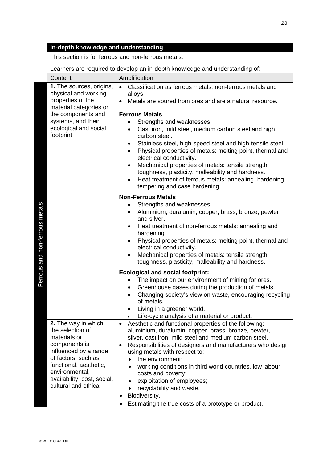This section is for ferrous and non-ferrous metals.

|                                | Content                                                                                                                                                                                                                     | Amplification                                                                                                                                                                                                                                                                                                                                                                                                                                                                                                                                                                                                                                                                 |
|--------------------------------|-----------------------------------------------------------------------------------------------------------------------------------------------------------------------------------------------------------------------------|-------------------------------------------------------------------------------------------------------------------------------------------------------------------------------------------------------------------------------------------------------------------------------------------------------------------------------------------------------------------------------------------------------------------------------------------------------------------------------------------------------------------------------------------------------------------------------------------------------------------------------------------------------------------------------|
|                                | 1. The sources, origins,<br>physical and working<br>properties of the<br>material categories or<br>the components and<br>systems, and their<br>ecological and social<br>footprint                                           | Classification as ferrous metals, non-ferrous metals and<br>$\bullet$<br>alloys.<br>Metals are soured from ores and are a natural resource.<br><b>Ferrous Metals</b><br>Strengths and weaknesses.<br>Cast iron, mild steel, medium carbon steel and high<br>carbon steel.<br>Stainless steel, high-speed steel and high-tensile steel.<br>Physical properties of metals: melting point, thermal and<br>electrical conductivity.<br>Mechanical properties of metals: tensile strength,<br>toughness, plasticity, malleability and hardness.<br>Heat treatment of ferrous metals: annealing, hardening,<br>tempering and case hardening.                                        |
| Ferrous and non-ferrous metals |                                                                                                                                                                                                                             | <b>Non-Ferrous Metals</b><br>Strengths and weaknesses.<br>Aluminium, duralumin, copper, brass, bronze, pewter<br>and silver.<br>Heat treatment of non-ferrous metals: annealing and<br>hardening<br>Physical properties of metals: melting point, thermal and<br>electrical conductivity.<br>Mechanical properties of metals: tensile strength,<br>$\bullet$<br>toughness, plasticity, malleability and hardness.<br><b>Ecological and social footprint:</b><br>The impact on our environment of mining for ores.<br>Greenhouse gases during the production of metals.<br>Changing society's view on waste, encouraging recycling<br>of metals.<br>Living in a greener world. |
|                                |                                                                                                                                                                                                                             | Life-cycle analysis of a material or product.                                                                                                                                                                                                                                                                                                                                                                                                                                                                                                                                                                                                                                 |
|                                | 2. The way in which<br>the selection of<br>materials or<br>components is<br>influenced by a range<br>of factors, such as<br>functional, aesthetic,<br>environmental,<br>availability, cost, social,<br>cultural and ethical | Aesthetic and functional properties of the following:<br>$\bullet$<br>aluminium, duralumin, copper, brass, bronze, pewter,<br>silver, cast iron, mild steel and medium carbon steel.<br>Responsibilities of designers and manufacturers who design<br>$\bullet$<br>using metals with respect to:<br>the environment;<br>working conditions in third world countries, low labour<br>costs and poverty;<br>exploitation of employees;<br>recyclability and waste.<br>Biodiversity.<br>Estimating the true costs of a prototype or product.<br>$\bullet$                                                                                                                         |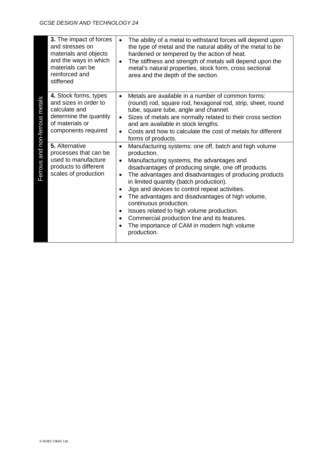|                                | 3. The impact of forces<br>and stresses on<br>materials and objects<br>and the ways in which<br>materials can be<br>reinforced and<br>stiffened | area and the depth of the section.                                                                 | The ability of a metal to withstand forces will depend upon<br>the type of metal and the natural ability of the metal to be<br>hardened or tempered by the action of heat.<br>The stiffness and strength of metals will depend upon the<br>metal's natural properties, stock form, cross sectional                                                                                                                                                                     |
|--------------------------------|-------------------------------------------------------------------------------------------------------------------------------------------------|----------------------------------------------------------------------------------------------------|------------------------------------------------------------------------------------------------------------------------------------------------------------------------------------------------------------------------------------------------------------------------------------------------------------------------------------------------------------------------------------------------------------------------------------------------------------------------|
| Ferrous and non-ferrous metals | 4. Stock forms, types<br>and sizes in order to<br>calculate and<br>determine the quantity<br>of materials or<br>components required             | tube, square tube, angle and channel.<br>and are available in stock lengths.<br>forms of products. | Metals are available in a number of common forms:<br>(round) rod, square rod, hexagonal rod, strip, sheet, round<br>Sizes of metals are normally related to their cross section<br>Costs and how to calculate the cost of metals for different                                                                                                                                                                                                                         |
|                                | 5. Alternative<br>processes that can be<br>used to manufacture<br>products to different<br>scales of production                                 | production.<br>in limited quantity (batch production).<br>continuous production.<br>production.    | Manufacturing systems: one off, batch and high volume<br>Manufacturing systems, the advantages and<br>disadvantages of producing single, one off products.<br>The advantages and disadvantages of producing products<br>Jigs and devices to control repeat activities.<br>The advantages and disadvantages of high volume,<br>Issues related to high volume production.<br>Commercial production line and its features.<br>The importance of CAM in modern high volume |
|                                |                                                                                                                                                 |                                                                                                    |                                                                                                                                                                                                                                                                                                                                                                                                                                                                        |
|                                | © WJEC CBAC Ltd.                                                                                                                                |                                                                                                    |                                                                                                                                                                                                                                                                                                                                                                                                                                                                        |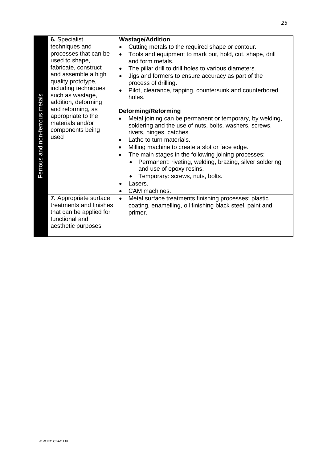| 6. Specialist                                                                                                                                                                                                                                                                                                                  | <b>Wastage/Addition</b>                                                                                                                                                                                                                                                                                                                                                                                                                                                                                                                                                                                                                                                                                                                                                                                                                                                                                                      |
|--------------------------------------------------------------------------------------------------------------------------------------------------------------------------------------------------------------------------------------------------------------------------------------------------------------------------------|------------------------------------------------------------------------------------------------------------------------------------------------------------------------------------------------------------------------------------------------------------------------------------------------------------------------------------------------------------------------------------------------------------------------------------------------------------------------------------------------------------------------------------------------------------------------------------------------------------------------------------------------------------------------------------------------------------------------------------------------------------------------------------------------------------------------------------------------------------------------------------------------------------------------------|
| techniques and<br>processes that can be<br>used to shape,<br>fabricate, construct<br>and assemble a high<br>quality prototype,<br>including techniques<br>such as wastage,<br>Ferrous and non-ferrous metals<br>addition, deforming<br>and reforming, as<br>appropriate to the<br>materials and/or<br>components being<br>used | Cutting metals to the required shape or contour.<br>Tools and equipment to mark out, hold, cut, shape, drill<br>$\bullet$<br>and form metals.<br>The pillar drill to drill holes to various diameters.<br>$\bullet$<br>Jigs and formers to ensure accuracy as part of the<br>$\bullet$<br>process of drilling.<br>Pilot, clearance, tapping, countersunk and counterbored<br>$\bullet$<br>holes.<br><b>Deforming/Reforming</b><br>Metal joining can be permanent or temporary, by welding,<br>soldering and the use of nuts, bolts, washers, screws,<br>rivets, hinges, catches.<br>Lathe to turn materials.<br>$\bullet$<br>Milling machine to create a slot or face edge.<br>$\bullet$<br>The main stages in the following joining processes:<br>$\bullet$<br>Permanent: riveting, welding, brazing, silver soldering<br>and use of epoxy resins.<br>Temporary: screws, nuts, bolts.<br>Lasers.<br>٠<br>CAM machines.<br>٠ |
| 7. Appropriate surface<br>treatments and finishes<br>that can be applied for<br>functional and<br>aesthetic purposes                                                                                                                                                                                                           | Metal surface treatments finishing processes: plastic<br>$\bullet$<br>coating, enamelling, oil finishing black steel, paint and<br>primer.                                                                                                                                                                                                                                                                                                                                                                                                                                                                                                                                                                                                                                                                                                                                                                                   |
|                                                                                                                                                                                                                                                                                                                                |                                                                                                                                                                                                                                                                                                                                                                                                                                                                                                                                                                                                                                                                                                                                                                                                                                                                                                                              |
| © WJEC CBAC Ltd.                                                                                                                                                                                                                                                                                                               |                                                                                                                                                                                                                                                                                                                                                                                                                                                                                                                                                                                                                                                                                                                                                                                                                                                                                                                              |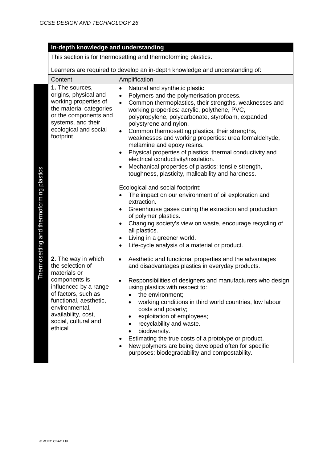This section is for thermosetting and thermoforming plastics.

| Content                                                                                                                                                                                                                        | Amplification                                                                                                                                                                                                                                                                                                                                                                                                                                                                                                                                                                                                                                                                                                                                                                                                                                                                                                                                                                                                                                                                                                                         |  |
|--------------------------------------------------------------------------------------------------------------------------------------------------------------------------------------------------------------------------------|---------------------------------------------------------------------------------------------------------------------------------------------------------------------------------------------------------------------------------------------------------------------------------------------------------------------------------------------------------------------------------------------------------------------------------------------------------------------------------------------------------------------------------------------------------------------------------------------------------------------------------------------------------------------------------------------------------------------------------------------------------------------------------------------------------------------------------------------------------------------------------------------------------------------------------------------------------------------------------------------------------------------------------------------------------------------------------------------------------------------------------------|--|
| 1. The sources,<br>origins, physical and<br>working properties of<br>the material categories<br>or the components and<br>systems, and their<br>ecological and social<br>footprint                                              | Natural and synthetic plastic.<br>$\bullet$<br>Polymers and the polymerisation process.<br>$\bullet$<br>Common thermoplastics, their strengths, weaknesses and<br>$\bullet$<br>working properties: acrylic, polythene, PVC,<br>polypropylene, polycarbonate, styrofoam, expanded<br>polystyrene and nylon.<br>Common thermosetting plastics, their strengths,<br>$\bullet$<br>weaknesses and working properties: urea formaldehyde,<br>melamine and epoxy resins.<br>Physical properties of plastics: thermal conductivity and<br>$\bullet$<br>electrical conductivity/insulation.<br>Mechanical properties of plastics: tensile strength,<br>$\bullet$<br>toughness, plasticity, malleability and hardness.<br>Ecological and social footprint:<br>The impact on our environment of oil exploration and<br>$\bullet$<br>extraction.<br>Greenhouse gases during the extraction and production<br>$\bullet$<br>of polymer plastics.<br>Changing society's view on waste, encourage recycling of<br>$\bullet$<br>all plastics.<br>Living in a greener world.<br>$\bullet$<br>Life-cycle analysis of a material or product.<br>$\bullet$ |  |
| 2. The way in which<br>the selection of<br>materials or<br>components is<br>influenced by a range<br>of factors, such as<br>functional, aesthetic,<br>environmental,<br>availability, cost,<br>social, cultural and<br>ethical | Aesthetic and functional properties and the advantages<br>$\bullet$<br>and disadvantages plastics in everyday products.<br>Responsibilities of designers and manufacturers who design<br>$\bullet$<br>using plastics with respect to:<br>the environment;<br>$\bullet$<br>working conditions in third world countries, low labour<br>$\bullet$<br>costs and poverty;<br>exploitation of employees;<br>$\bullet$<br>recyclability and waste.<br>$\bullet$<br>biodiversity.<br>$\bullet$<br>Estimating the true costs of a prototype or product.<br>٠<br>New polymers are being developed often for specific<br>purposes: biodegradability and compostability.                                                                                                                                                                                                                                                                                                                                                                                                                                                                          |  |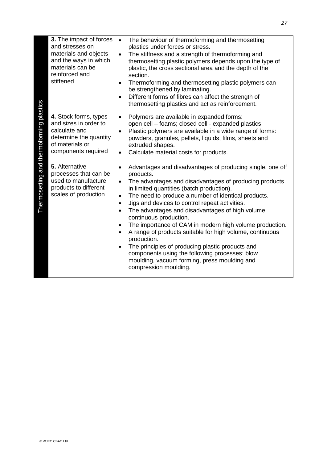| and stresses on<br>materials can be<br>reinforced and<br>stiffened                                                                 | 3. The impact of forces<br>$\bullet$<br>materials and objects<br>$\bullet$<br>and the ways in which<br>$\bullet$<br>$\bullet$ | The behaviour of thermoforming and thermosetting<br>plastics under forces or stress.<br>The stiffness and a strength of thermoforming and<br>thermosetting plastic polymers depends upon the type of<br>plastic, the cross sectional area and the depth of the<br>section.<br>Thermoforming and thermosetting plastic polymers can<br>be strengthened by laminating.<br>Different forms of fibres can affect the strength of<br>thermosetting plastics and act as reinforcement.                                                                                                                                                                                                          |
|------------------------------------------------------------------------------------------------------------------------------------|-------------------------------------------------------------------------------------------------------------------------------|-------------------------------------------------------------------------------------------------------------------------------------------------------------------------------------------------------------------------------------------------------------------------------------------------------------------------------------------------------------------------------------------------------------------------------------------------------------------------------------------------------------------------------------------------------------------------------------------------------------------------------------------------------------------------------------------|
| 4. Stock forms, types<br>and sizes in order to<br>calculate and<br>of materials or<br>components required                          | $\bullet$<br>$\bullet$<br>determine the quantity<br>$\bullet$                                                                 | Polymers are available in expanded forms:<br>open cell - foams; closed cell - expanded plastics.<br>Plastic polymers are available in a wide range of forms:<br>powders, granules, pellets, liquids, films, sheets and<br>extruded shapes.<br>Calculate material costs for products.                                                                                                                                                                                                                                                                                                                                                                                                      |
| Thermosetting and thermoforming plastics<br>5. Alternative<br>used to manufacture<br>products to different<br>scales of production | $\bullet$<br>processes that can be<br>$\bullet$<br>$\bullet$<br>$\bullet$<br>$\bullet$<br>$\bullet$<br>$\bullet$              | Advantages and disadvantages of producing single, one off<br>products.<br>The advantages and disadvantages of producing products<br>in limited quantities (batch production).<br>The need to produce a number of identical products.<br>Jigs and devices to control repeat activities.<br>The advantages and disadvantages of high volume,<br>continuous production.<br>The importance of CAM in modern high volume production.<br>A range of products suitable for high volume, continuous<br>production.<br>The principles of producing plastic products and<br>components using the following processes: blow<br>moulding, vacuum forming, press moulding and<br>compression moulding. |
|                                                                                                                                    |                                                                                                                               |                                                                                                                                                                                                                                                                                                                                                                                                                                                                                                                                                                                                                                                                                           |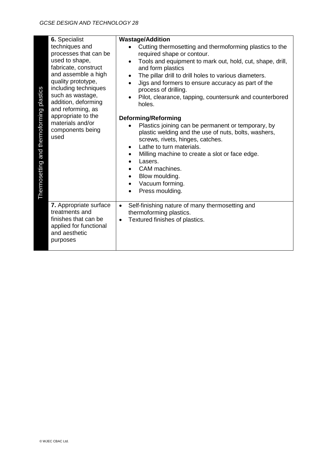| 6. Specialist<br>techniques and<br>processes that can be<br>used to shape,<br>fabricate, construct<br>and assemble a high<br>quality prototype,<br>including techniques<br>Thermosetting and thermoforming plastics<br>such as wastage,<br>addition, deforming<br>and reforming, as<br>appropriate to the<br>materials and/or<br>components being<br>used | ٠                      | <b>Wastage/Addition</b><br>Cutting thermosetting and thermoforming plastics to the<br>required shape or contour.<br>Tools and equipment to mark out, hold, cut, shape, drill,<br>and form plastics<br>The pillar drill to drill holes to various diameters.<br>Jigs and formers to ensure accuracy as part of the<br>process of drilling.<br>Pilot, clearance, tapping, countersunk and counterbored<br>holes.<br><b>Deforming/Reforming</b><br>Plastics joining can be permanent or temporary, by<br>plastic welding and the use of nuts, bolts, washers,<br>screws, rivets, hinges, catches.<br>Lathe to turn materials.<br>Milling machine to create a slot or face edge.<br>Lasers.<br>CAM machines.<br>Blow moulding.<br>Vacuum forming.<br>Press moulding. |
|-----------------------------------------------------------------------------------------------------------------------------------------------------------------------------------------------------------------------------------------------------------------------------------------------------------------------------------------------------------|------------------------|------------------------------------------------------------------------------------------------------------------------------------------------------------------------------------------------------------------------------------------------------------------------------------------------------------------------------------------------------------------------------------------------------------------------------------------------------------------------------------------------------------------------------------------------------------------------------------------------------------------------------------------------------------------------------------------------------------------------------------------------------------------|
| 7. Appropriate surface<br>treatments and<br>finishes that can be<br>applied for functional<br>and aesthetic<br>purposes                                                                                                                                                                                                                                   | $\bullet$<br>$\bullet$ | Self-finishing nature of many thermosetting and<br>thermoforming plastics.<br>Textured finishes of plastics.                                                                                                                                                                                                                                                                                                                                                                                                                                                                                                                                                                                                                                                     |
|                                                                                                                                                                                                                                                                                                                                                           |                        |                                                                                                                                                                                                                                                                                                                                                                                                                                                                                                                                                                                                                                                                                                                                                                  |
| © WJEC CBAC Ltd.                                                                                                                                                                                                                                                                                                                                          |                        |                                                                                                                                                                                                                                                                                                                                                                                                                                                                                                                                                                                                                                                                                                                                                                  |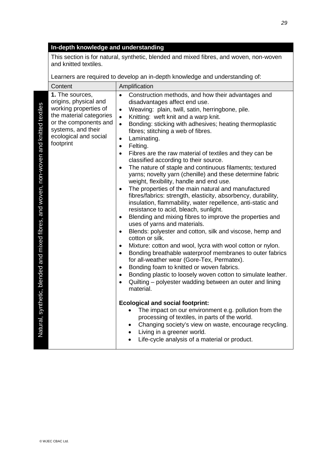This section is for natural, synthetic, blended and mixed fibres, and woven, non-woven and knitted textiles.

|                                                                                                  | Content                                                                                                                                                                           | Amplification                                                                                                                                                                                                                                                                                                                                                                                                                                                                                                                                                                                                                                                                                                                                                                                                                                                                                                                                                                                                                                                                                                                                                                                                                                                                                                                                                                                                                                                                                                                                                                                                                                                                                                                                                                                                                                                                            |
|--------------------------------------------------------------------------------------------------|-----------------------------------------------------------------------------------------------------------------------------------------------------------------------------------|------------------------------------------------------------------------------------------------------------------------------------------------------------------------------------------------------------------------------------------------------------------------------------------------------------------------------------------------------------------------------------------------------------------------------------------------------------------------------------------------------------------------------------------------------------------------------------------------------------------------------------------------------------------------------------------------------------------------------------------------------------------------------------------------------------------------------------------------------------------------------------------------------------------------------------------------------------------------------------------------------------------------------------------------------------------------------------------------------------------------------------------------------------------------------------------------------------------------------------------------------------------------------------------------------------------------------------------------------------------------------------------------------------------------------------------------------------------------------------------------------------------------------------------------------------------------------------------------------------------------------------------------------------------------------------------------------------------------------------------------------------------------------------------------------------------------------------------------------------------------------------------|
| ואמנטומו, Synuncus, מופותעה מוני ווווגפט ווטופט, מווט שטיפון, ווטודישטיפוו מווט ומוונפט נפגנוופט | 1. The sources,<br>origins, physical and<br>working properties of<br>the material categories<br>or the components and<br>systems, and their<br>ecological and social<br>footprint | Construction methods, and how their advantages and<br>$\bullet$<br>disadvantages affect end use.<br>Weaving: plain, twill, satin, herringbone, pile.<br>$\bullet$<br>Knitting: weft knit and a warp knit.<br>$\bullet$<br>Bonding: sticking with adhesives; heating thermoplastic<br>$\bullet$<br>fibres; stitching a web of fibres.<br>Laminating.<br>$\bullet$<br>Felting.<br>$\bullet$<br>Fibres are the raw material of textiles and they can be<br>$\bullet$<br>classified according to their source.<br>The nature of staple and continuous filaments; textured<br>$\bullet$<br>yarns; novelty yarn (chenille) and these determine fabric<br>weight, flexibility, handle and end use.<br>The properties of the main natural and manufactured<br>$\bullet$<br>fibres/fabrics: strength, elasticity, absorbency, durability,<br>insulation, flammability, water repellence, anti-static and<br>resistance to acid, bleach, sunlight.<br>Blending and mixing fibres to improve the properties and<br>$\bullet$<br>uses of yarns and materials.<br>Blends: polyester and cotton, silk and viscose, hemp and<br>$\bullet$<br>cotton or silk.<br>Mixture: cotton and wool, lycra with wool cotton or nylon.<br>$\bullet$<br>Bonding breathable waterproof membranes to outer fabrics<br>$\bullet$<br>for all-weather wear (Gore-Tex, Permatex).<br>Bonding foam to knitted or woven fabrics.<br>$\bullet$<br>Bonding plastic to loosely woven cotton to simulate leather.<br>$\bullet$<br>Quilting – polyester wadding between an outer and lining<br>$\bullet$<br>material.<br><b>Ecological and social footprint:</b><br>The impact on our environment e.g. pollution from the<br>processing of textiles, in parts of the world.<br>Changing society's view on waste, encourage recycling.<br>Living in a greener world.<br>Life-cycle analysis of a material or product.<br>$\bullet$ |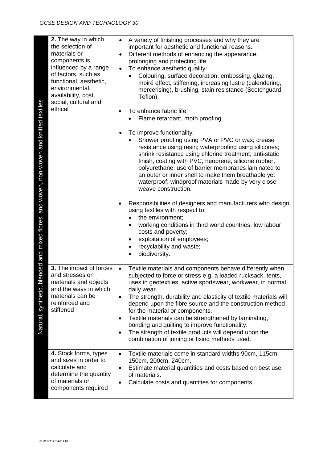| ended and mixed fibres, and woven, non-woven and knitted textiles | 2. The way in which<br>the selection of<br>materials or<br>components is<br>influenced by a range<br>of factors, such as<br>functional, aesthetic,<br>environmental,<br>availability, cost,<br>social, cultural and<br>ethical | A variety of finishing processes and why they are<br>$\bullet$<br>important for aesthetic and functional reasons.<br>Different methods of enhancing the appearance,<br>$\bullet$<br>prolonging and protecting life.<br>To enhance aesthetic quality:<br>$\bullet$<br>Colouring, surface decoration, embossing, glazing,<br>moiré effect, stiffening, increasing lustre (calendering,<br>mercerising), brushing, stain resistance (Scotchguard,<br>Teflon).<br>To enhance fabric life:<br>Flame retardant, moth proofing.<br>To improve functionality:<br>Shower proofing using PVA or PVC or wax; crease<br>resistance using resin; waterproofing using silicones;<br>shrink resistance using chlorine treatment; anti-static<br>finish, coating with PVC, neoprene, silicone rubber,<br>polyurethane; use of barrier membranes laminated to<br>an outer or inner shell to make them breathable yet<br>waterproof; windproof materials made by very close<br>weave construction.<br>Responsibilities of designers and manufacturers who design<br>using textiles with respect to:<br>the environment;<br>working conditions in third world countries, low labour<br>costs and poverty;<br>exploitation of employees;<br>٠<br>recyclability and waste;<br>biodiversity. |
|-------------------------------------------------------------------|--------------------------------------------------------------------------------------------------------------------------------------------------------------------------------------------------------------------------------|------------------------------------------------------------------------------------------------------------------------------------------------------------------------------------------------------------------------------------------------------------------------------------------------------------------------------------------------------------------------------------------------------------------------------------------------------------------------------------------------------------------------------------------------------------------------------------------------------------------------------------------------------------------------------------------------------------------------------------------------------------------------------------------------------------------------------------------------------------------------------------------------------------------------------------------------------------------------------------------------------------------------------------------------------------------------------------------------------------------------------------------------------------------------------------------------------------------------------------------------------------------------|
| $\overline{\circ}$<br>Natural, synthetic,                         | 3. The impact of forces<br>and stresses on<br>materials and objects<br>and the ways in which<br>materials can be<br>reinforced and<br>stiffened                                                                                | Textile materials and components behave differently when<br>$\bullet$<br>subjected to force or stress e.g. a loaded rucksack, tents,<br>uses in geotextiles, active sportswear, workwear, in normal<br>daily wear.<br>The strength, durability and elasticity of textile materials will<br>$\bullet$<br>depend upon the fibre source and the construction method<br>for the material or components.<br>Textile materials can be strengthened by laminating,<br>$\bullet$<br>bonding and quilting to improve functionality.<br>The strength of textile products will depend upon the<br>$\bullet$<br>combination of joining or fixing methods used.                                                                                                                                                                                                                                                                                                                                                                                                                                                                                                                                                                                                                     |
|                                                                   | 4. Stock forms, types<br>and sizes in order to<br>calculate and<br>determine the quantity<br>of materials or<br>components required                                                                                            | Textile materials come in standard widths 90cm, 115cm,<br>$\bullet$<br>150cm, 200cm, 240cm.<br>Estimate material quantities and costs based on best use<br>$\bullet$<br>of materials.<br>Calculate costs and quantities for components.<br>$\bullet$                                                                                                                                                                                                                                                                                                                                                                                                                                                                                                                                                                                                                                                                                                                                                                                                                                                                                                                                                                                                                   |
|                                                                   | © WJEC CBAC Ltd.                                                                                                                                                                                                               |                                                                                                                                                                                                                                                                                                                                                                                                                                                                                                                                                                                                                                                                                                                                                                                                                                                                                                                                                                                                                                                                                                                                                                                                                                                                        |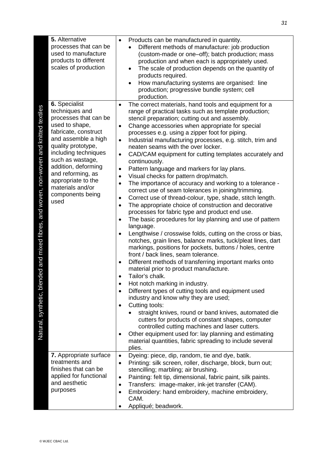| 5. Alternative<br>processes that can be<br>used to manufacture<br>products to different<br>scales of production                                                                                                                                                                                                                                                                                                 | Products can be manufactured in quantity.<br>$\bullet$<br>Different methods of manufacture: job production<br>(custom-made or one-off); batch production; mass<br>production and when each is appropriately used.<br>The scale of production depends on the quantity of<br>products required.<br>How manufacturing systems are organised: line<br>production; progressive bundle system; cell<br>production.                                                                                                                                                                                                                                                                                                                                                                                                                                                                                                                                                                                                                                                                                                                                                                                                                                                                                                                                                                                                                                                                                                                                                                                                                                                                                                                                                                                                                                                                                     |
|-----------------------------------------------------------------------------------------------------------------------------------------------------------------------------------------------------------------------------------------------------------------------------------------------------------------------------------------------------------------------------------------------------------------|--------------------------------------------------------------------------------------------------------------------------------------------------------------------------------------------------------------------------------------------------------------------------------------------------------------------------------------------------------------------------------------------------------------------------------------------------------------------------------------------------------------------------------------------------------------------------------------------------------------------------------------------------------------------------------------------------------------------------------------------------------------------------------------------------------------------------------------------------------------------------------------------------------------------------------------------------------------------------------------------------------------------------------------------------------------------------------------------------------------------------------------------------------------------------------------------------------------------------------------------------------------------------------------------------------------------------------------------------------------------------------------------------------------------------------------------------------------------------------------------------------------------------------------------------------------------------------------------------------------------------------------------------------------------------------------------------------------------------------------------------------------------------------------------------------------------------------------------------------------------------------------------------|
| 6. Specialist<br>and mixed fibres, and woven, non-woven and knitted textiles<br>techniques and<br>processes that can be<br>used to shape,<br>fabricate, construct<br>and assemble a high<br>quality prototype,<br>including techniques<br>such as wastage,<br>addition, deforming<br>and reforming, as<br>appropriate to the<br>materials and/or<br>components being<br>used<br>nded<br>Natural, synthetic, ble | The correct materials, hand tools and equipment for a<br>$\bullet$<br>range of practical tasks such as template production;<br>stencil preparation; cutting out and assembly.<br>Change accessories when appropriate for special<br>$\bullet$<br>processes e.g. using a zipper foot for piping.<br>Industrial manufacturing processes, e.g. stitch, trim and<br>$\bullet$<br>neaten seams with the over locker.<br>CAD/CAM equipment for cutting templates accurately and<br>$\bullet$<br>continuously.<br>Pattern language and markers for lay plans.<br>$\bullet$<br>Visual checks for pattern drop/match.<br>$\bullet$<br>The importance of accuracy and working to a tolerance -<br>$\bullet$<br>correct use of seam tolerances in joining/trimming.<br>Correct use of thread-colour, type, shade, stitch length.<br>$\bullet$<br>The appropriate choice of construction and decorative<br>$\bullet$<br>processes for fabric type and product end use.<br>The basic procedures for lay planning and use of pattern<br>language.<br>Lengthwise / crosswise folds, cutting on the cross or bias,<br>notches, grain lines, balance marks, tuck/pleat lines, dart<br>markings, positions for pockets, buttons / holes, centre<br>front / back lines, seam tolerance.<br>Different methods of transferring important marks onto<br>$\bullet$<br>material prior to product manufacture.<br>Tailor's chalk.<br>Hot notch marking in industry.<br>$\bullet$<br>Different types of cutting tools and equipment used<br>$\bullet$<br>industry and know why they are used;<br>Cutting tools:<br>$\bullet$<br>straight knives, round or band knives, automated die<br>cutters for products of constant shapes, computer<br>controlled cutting machines and laser cutters.<br>Other equipment used for: lay planning and estimating<br>material quantities, fabric spreading to include several<br>plies. |
| 7. Appropriate surface<br>treatments and<br>finishes that can be<br>applied for functional<br>and aesthetic<br>purposes                                                                                                                                                                                                                                                                                         | Dyeing: piece, dip, random, tie and dye, batik.<br>$\bullet$<br>Printing: silk screen, roller, discharge, block, burn out;<br>$\bullet$<br>stencilling; marbling; air brushing.<br>Painting: felt tip, dimensional, fabric paint, silk paints.<br>$\bullet$<br>Transfers: image-maker, ink-jet transfer (CAM).<br>$\bullet$<br>Embroidery: hand embroidery, machine embroidery,<br>٠<br>CAM.<br>Appliqué; beadwork.<br>$\bullet$                                                                                                                                                                                                                                                                                                                                                                                                                                                                                                                                                                                                                                                                                                                                                                                                                                                                                                                                                                                                                                                                                                                                                                                                                                                                                                                                                                                                                                                                 |
| © WJEC CBAC Ltd.                                                                                                                                                                                                                                                                                                                                                                                                |                                                                                                                                                                                                                                                                                                                                                                                                                                                                                                                                                                                                                                                                                                                                                                                                                                                                                                                                                                                                                                                                                                                                                                                                                                                                                                                                                                                                                                                                                                                                                                                                                                                                                                                                                                                                                                                                                                  |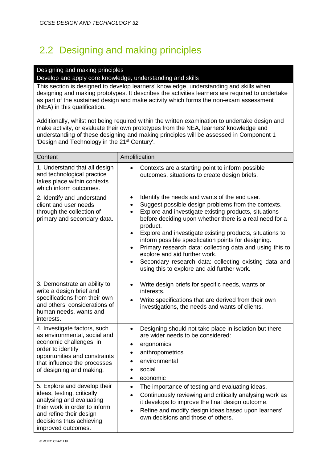### 2.2 Designing and making principles

### Designing and making principles

Develop and apply core knowledge, understanding and skills

This section is designed to develop learners' knowledge, understanding and skills when designing and making prototypes. It describes the activities learners are required to undertake as part of the sustained design and make activity which forms the non-exam assessment (NEA) in this qualification.

Additionally, whilst not being required within the written examination to undertake design and make activity, or evaluate their own prototypes from the NEA, learners' knowledge and understanding of these designing and making principles will be assessed in Component 1 'Design and Technology in the 21<sup>st</sup> Century'.

| Content                                                                                                                                                                                                   | Amplification                                                                                                                                                                                                                                                                                                                                                                                                                                                                                                                                                                                                                              |  |  |  |
|-----------------------------------------------------------------------------------------------------------------------------------------------------------------------------------------------------------|--------------------------------------------------------------------------------------------------------------------------------------------------------------------------------------------------------------------------------------------------------------------------------------------------------------------------------------------------------------------------------------------------------------------------------------------------------------------------------------------------------------------------------------------------------------------------------------------------------------------------------------------|--|--|--|
| 1. Understand that all design<br>and technological practice<br>takes place within contexts<br>which inform outcomes.                                                                                      | Contexts are a starting point to inform possible<br>$\bullet$<br>outcomes, situations to create design briefs.                                                                                                                                                                                                                                                                                                                                                                                                                                                                                                                             |  |  |  |
| 2. Identify and understand<br>client and user needs<br>through the collection of<br>primary and secondary data.                                                                                           | Identify the needs and wants of the end user.<br>$\bullet$<br>Suggest possible design problems from the contexts.<br>$\bullet$<br>Explore and investigate existing products, situations<br>$\bullet$<br>before deciding upon whether there is a real need for a<br>product.<br>Explore and investigate existing products, situations to<br>$\bullet$<br>inform possible specification points for designing.<br>Primary research data: collecting data and using this to<br>$\bullet$<br>explore and aid further work.<br>Secondary research data: collecting existing data and<br>$\bullet$<br>using this to explore and aid further work. |  |  |  |
| 3. Demonstrate an ability to<br>write a design brief and<br>specifications from their own<br>and others' considerations of<br>human needs, wants and<br>interests.                                        | Write design briefs for specific needs, wants or<br>$\bullet$<br>interests.<br>Write specifications that are derived from their own<br>investigations, the needs and wants of clients.                                                                                                                                                                                                                                                                                                                                                                                                                                                     |  |  |  |
| 4. Investigate factors, such<br>as environmental, social and<br>economic challenges, in<br>order to identify<br>opportunities and constraints<br>that influence the processes<br>of designing and making. | Designing should not take place in isolation but there<br>$\bullet$<br>are wider needs to be considered:<br>ergonomics<br>$\bullet$<br>anthropometrics<br>$\bullet$<br>environmental<br>social<br>$\bullet$<br>economic<br>$\bullet$                                                                                                                                                                                                                                                                                                                                                                                                       |  |  |  |
| 5. Explore and develop their<br>ideas, testing, critically<br>analysing and evaluating<br>their work in order to inform<br>and refine their design<br>decisions thus achieving<br>improved outcomes.      | The importance of testing and evaluating ideas.<br>$\bullet$<br>Continuously reviewing and critically analysing work as<br>$\bullet$<br>it develops to improve the final design outcome.<br>Refine and modify design ideas based upon learners'<br>$\bullet$<br>own decisions and those of others.                                                                                                                                                                                                                                                                                                                                         |  |  |  |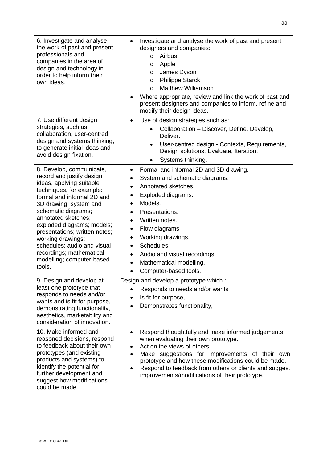| 6. Investigate and analyse<br>the work of past and present<br>professionals and<br>companies in the area of<br>design and technology in<br>order to help inform their<br>own ideas.                                                                                                                                                                                                                       | Investigate and analyse the work of past and present<br>designers and companies:<br>Airbus<br>$\circ$<br>Apple<br>O<br>James Dyson<br>O<br><b>Philippe Starck</b><br>$\circ$<br><b>Matthew Williamson</b><br>$\circ$<br>Where appropriate, review and link the work of past and<br>present designers and companies to inform, refine and<br>modify their design ideas.             |
|-----------------------------------------------------------------------------------------------------------------------------------------------------------------------------------------------------------------------------------------------------------------------------------------------------------------------------------------------------------------------------------------------------------|------------------------------------------------------------------------------------------------------------------------------------------------------------------------------------------------------------------------------------------------------------------------------------------------------------------------------------------------------------------------------------|
| 7. Use different design<br>strategies, such as<br>collaboration, user-centred<br>design and systems thinking,<br>to generate initial ideas and<br>avoid design fixation.                                                                                                                                                                                                                                  | Use of design strategies such as:<br>$\bullet$<br>Collaboration - Discover, Define, Develop,<br>Deliver.<br>User-centred design - Contexts, Requirements,<br>Design solutions, Evaluate, Iteration.<br>Systems thinking.                                                                                                                                                           |
| 8. Develop, communicate,<br>record and justify design<br>ideas, applying suitable<br>techniques, for example:<br>formal and informal 2D and<br>3D drawing; system and<br>schematic diagrams;<br>annotated sketches;<br>exploded diagrams; models;<br>presentations; written notes;<br>working drawings;<br>schedules; audio and visual<br>recordings; mathematical<br>modelling; computer-based<br>tools. | Formal and informal 2D and 3D drawing.<br>System and schematic diagrams.<br>Annotated sketches.<br>$\bullet$<br>Exploded diagrams.<br>٠<br>Models.<br>Presentations.<br>Written notes.<br>$\bullet$<br>Flow diagrams<br>$\bullet$<br>Working drawings.<br>$\bullet$<br>Schedules.<br>Audio and visual recordings.<br>$\bullet$<br>Mathematical modelling.<br>Computer-based tools. |
| 9. Design and develop at<br>least one prototype that<br>responds to needs and/or<br>wants and is fit for purpose,<br>demonstrating functionality,<br>aesthetics, marketability and<br>consideration of innovation.                                                                                                                                                                                        | Design and develop a prototype which :<br>Responds to needs and/or wants<br>Is fit for purpose,<br>Demonstrates functionality,                                                                                                                                                                                                                                                     |
| 10. Make informed and<br>reasoned decisions, respond<br>to feedback about their own<br>prototypes (and existing<br>products and systems) to<br>identify the potential for<br>further development and<br>suggest how modifications<br>could be made.                                                                                                                                                       | Respond thoughtfully and make informed judgements<br>٠<br>when evaluating their own prototype.<br>Act on the views of others.<br>Make suggestions for improvements of their own<br>$\bullet$<br>prototype and how these modifications could be made.<br>Respond to feedback from others or clients and suggest<br>improvements/modifications of their prototype.                   |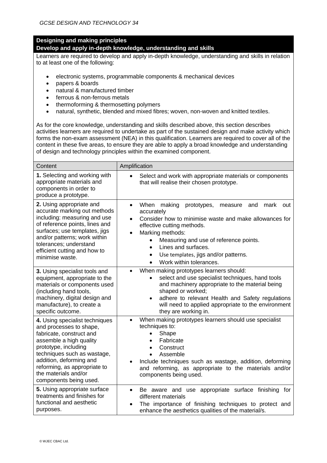### **Designing and making principles**

#### **Develop and apply in-depth knowledge, understanding and skills**

Learners are required to develop and apply in-depth knowledge, understanding and skills in relation to at least one of the following:

- electronic systems, programmable components & mechanical devices
- papers & boards
- natural & manufactured timber
- ferrous & non-ferrous metals
- thermoforming & thermosetting polymers
- natural, synthetic, blended and mixed fibres; woven, non-woven and knitted textiles.

As for the core knowledge, understanding and skills described above, this section describes activities learners are required to undertake as part of the sustained design and make activity which forms the non-exam assessment (NEA) in this qualification. Learners are required to cover all of the content in these five areas, to ensure they are able to apply a broad knowledge and understanding of design and technology principles within the examined component.

| Content                                                                                                                                                                                                                                                                              | Amplification                                                                                                                                                                                                                                                                                                                                                                                              |  |  |  |
|--------------------------------------------------------------------------------------------------------------------------------------------------------------------------------------------------------------------------------------------------------------------------------------|------------------------------------------------------------------------------------------------------------------------------------------------------------------------------------------------------------------------------------------------------------------------------------------------------------------------------------------------------------------------------------------------------------|--|--|--|
| 1. Selecting and working with<br>appropriate materials and<br>components in order to<br>produce a prototype.                                                                                                                                                                         | Select and work with appropriate materials or components<br>$\bullet$<br>that will realise their chosen prototype.                                                                                                                                                                                                                                                                                         |  |  |  |
| 2. Using appropriate and<br>accurate marking out methods<br>including: measuring and use<br>of reference points, lines and<br>surfaces; use templates, jigs<br>and/or patterns; work within<br>tolerances; understand<br>efficient cutting and how to<br>minimise waste.             | When<br>mark<br>making<br>prototypes,<br>and<br>$\bullet$<br>measure<br>out<br>accurately<br>Consider how to minimise waste and make allowances for<br>$\bullet$<br>effective cutting methods.<br>Marking methods:<br>$\bullet$<br>Measuring and use of reference points.<br>$\bullet$<br>Lines and surfaces.<br>$\bullet$<br>Use templates, jigs and/or patterns.<br>$\bullet$<br>Work within tolerances. |  |  |  |
| 3. Using specialist tools and<br>equipment, appropriate to the<br>materials or components used<br>(including hand tools,<br>machinery, digital design and<br>manufacture), to create a<br>specific outcome.                                                                          | When making prototypes learners should:<br>$\bullet$<br>select and use specialist techniques, hand tools<br>$\bullet$<br>and machinery appropriate to the material being<br>shaped or worked;<br>adhere to relevant Health and Safety regulations<br>$\bullet$<br>will need to applied appropriate to the environment<br>they are working in.                                                              |  |  |  |
| 4. Using specialist techniques<br>and processes to shape,<br>fabricate, construct and<br>assemble a high quality<br>prototype, including<br>techniques such as wastage,<br>addition, deforming and<br>reforming, as appropriate to<br>the materials and/or<br>components being used. | When making prototypes learners should use specialist<br>techniques to:<br>Shape<br>Fabricate<br>Construct<br>Assemble<br>Include techniques such as wastage, addition, deforming<br>$\bullet$<br>and reforming, as appropriate to the materials and/or<br>components being used.                                                                                                                          |  |  |  |
| 5. Using appropriate surface<br>treatments and finishes for<br>functional and aesthetic<br>purposes.                                                                                                                                                                                 | Be aware and use appropriate surface finishing for<br>$\bullet$<br>different materials<br>The importance of finishing techniques to protect and<br>enhance the aesthetics qualities of the material/s.                                                                                                                                                                                                     |  |  |  |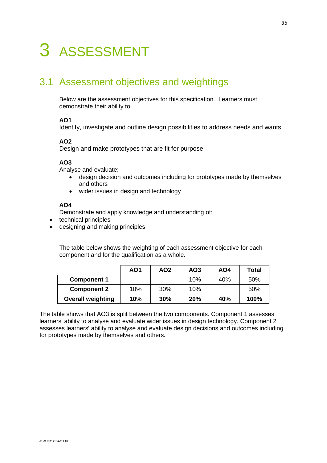# 3 ASSESSMENT

### 3.1 Assessment objectives and weightings

Below are the assessment objectives for this specification. Learners must demonstrate their ability to:

### **AO1**

Identify, investigate and outline design possibilities to address needs and wants

### **AO2**

Design and make prototypes that are fit for purpose

### **AO3**

Analyse and evaluate:

- design decision and outcomes including for prototypes made by themselves and others
- wider issues in design and technology

#### **AO4**

Demonstrate and apply knowledge and understanding of:

- technical principles
- designing and making principles

The table below shows the weighting of each assessment objective for each component and for the qualification as a whole.

|                          | AO1                      | AO <sub>2</sub> | AO <sub>3</sub> | AO4 | <b>Total</b> |
|--------------------------|--------------------------|-----------------|-----------------|-----|--------------|
| <b>Component 1</b>       | $\overline{\phantom{0}}$ | -               | 10%             | 40% | 50%          |
| <b>Component 2</b>       | 10%                      | 30%             | 10%             |     | 50%          |
| <b>Overall weighting</b> | 10%                      | 30%             | 20%             | 40% | 100%         |

The table shows that AO3 is split between the two components. Component 1 assesses learners' ability to analyse and evaluate wider issues in design technology. Component 2 assesses learners' ability to analyse and evaluate design decisions and outcomes including for prototypes made by themselves and others.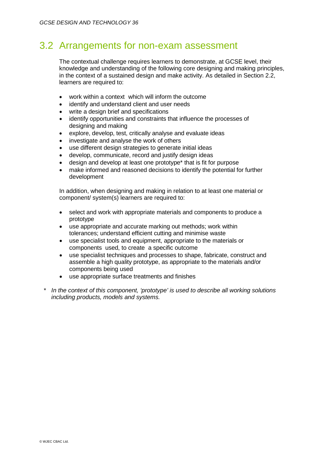### 3.2 Arrangements for non-exam assessment

The contextual challenge requires learners to demonstrate, at GCSE level, their knowledge and understanding of the following core designing and making principles, in the context of a sustained design and make activity. As detailed in Section 2.2, learners are required to:

- work within a context which will inform the outcome
- identify and understand client and user needs
- write a design brief and specifications
- identify opportunities and constraints that influence the processes of designing and making
- explore, develop, test, critically analyse and evaluate ideas
- investigate and analyse the work of others
- use different design strategies to generate initial ideas
- develop, communicate, record and justify design ideas
- design and develop at least one prototype\* that is fit for purpose
- make informed and reasoned decisions to identify the potential for further development

In addition, when designing and making in relation to at least one material or component/ system(s) learners are required to:

- select and work with appropriate materials and components to produce a prototype
- use appropriate and accurate marking out methods; work within tolerances; understand efficient cutting and minimise waste
- use specialist tools and equipment, appropriate to the materials or components used, to create a specific outcome
- use specialist techniques and processes to shape, fabricate, construct and assemble a high quality prototype, as appropriate to the materials and/or components being used
- use appropriate surface treatments and finishes
- *\* In the context of this component, 'prototype' is used to describe all working solutions including products, models and systems.*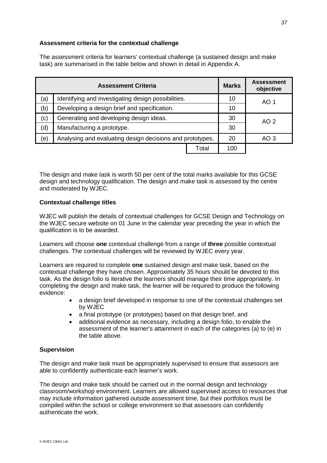### **Assessment criteria for the contextual challenge**

The assessment criteria for learners' contextual challenge (a sustained design and make task) are summarised in the table below and shown in detail in Appendix A.

|                                                                  | <b>Assessment Criteria</b>                          |       | <b>Marks</b>    | <b>Assessment</b><br>objective |
|------------------------------------------------------------------|-----------------------------------------------------|-------|-----------------|--------------------------------|
| (a)                                                              | Identifying and investigating design possibilities. |       | 10              | AO 1                           |
| (b)<br>Developing a design brief and specification.              |                                                     | 10    |                 |                                |
| (c)<br>Generating and developing design ideas.                   |                                                     | 30    | AO 2            |                                |
| (d)<br>Manufacturing a prototype.                                |                                                     | 30    |                 |                                |
| (e)<br>Analysing and evaluating design decisions and prototypes. |                                                     | 20    | AO <sub>3</sub> |                                |
|                                                                  |                                                     | Total | 100             |                                |

The design and make task is worth 50 per cent of the total marks available for this GCSE design and technology qualification. The design and make task is assessed by the centre and moderated by WJEC.

#### **Contextual challenge titles**

WJEC will publish the details of contextual challenges for GCSE Design and Technology on the WJEC secure website on 01 June in the calendar year preceding the year in which the qualification is to be awarded.

Learners will choose **one** contextual challenge from a range of **three** possible contextual challenges. The contextual challenges will be reviewed by WJEC every year.

Learners are required to complete **one** sustained design and make task, based on the contextual challenge they have chosen. Approximately 35 hours should be devoted to this task. As the design folio is iterative the learners should manage their time appropriately. In completing the design and make task, the learner will be required to produce the following evidence:

- a design brief developed in response to one of the contextual challenges set by WJEC
- a final prototype (or prototypes) based on that design brief, and
- additional evidence as necessary, including a design folio, to enable the assessment of the learner's attainment in each of the categories (a) to (e) in the table above.

#### **Supervision**

The design and make task must be appropriately supervised to ensure that assessors are able to confidently authenticate each learner's work.

The design and make task should be carried out in the normal design and technology classroom/workshop environment. Learners are allowed supervised access to resources that may include information gathered outside assessment time, but their portfolios must be compiled within the school or college environment so that assessors can confidently authenticate the work.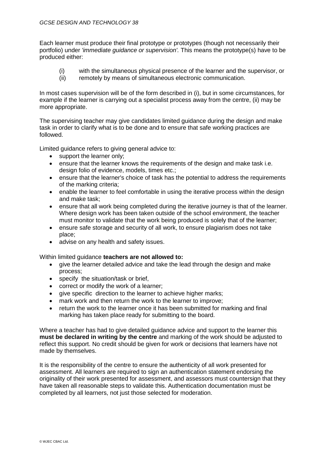Each learner must produce their final prototype or prototypes (though not necessarily their portfolio) under *'immediate guidance or supervision'.* This means the prototype(s) have to be produced either:

- (i) with the simultaneous physical presence of the learner and the supervisor, or <br>(ii) remotely by means of simultaneous electronic communication.
- remotely by means of simultaneous electronic communication.

In most cases supervision will be of the form described in (i), but in some circumstances, for example if the learner is carrying out a specialist process away from the centre, (ii) may be more appropriate.

The supervising teacher may give candidates limited guidance during the design and make task in order to clarify what is to be done and to ensure that safe working practices are followed.

Limited guidance refers to giving general advice to:

- support the learner only:
- ensure that the learner knows the requirements of the design and make task i.e. design folio of evidence, models, times etc.;
- ensure that the learner's choice of task has the potential to address the requirements of the marking criteria;
- enable the learner to feel comfortable in using the iterative process within the design and make task;
- ensure that all work being completed during the iterative journey is that of the learner. Where design work has been taken outside of the school environment, the teacher must monitor to validate that the work being produced is solely that of the learner;
- ensure safe storage and security of all work, to ensure plagiarism does not take place;
- advise on any health and safety issues.

Within limited guidance **teachers are not allowed to:**

- give the learner detailed advice and take the lead through the design and make process;
- specify the situation/task or brief,
- correct or modify the work of a learner;
- give specific direction to the learner to achieve higher marks;
- mark work and then return the work to the learner to improve;
- return the work to the learner once it has been submitted for marking and final marking has taken place ready for submitting to the board.

Where a teacher has had to give detailed guidance advice and support to the learner this **must be declared in writing by the centre** and marking of the work should be adjusted to reflect this support. No credit should be given for work or decisions that learners have not made by themselves.

It is the responsibility of the centre to ensure the authenticity of all work presented for assessment. All learners are required to sign an authentication statement endorsing the originality of their work presented for assessment, and assessors must countersign that they have taken all reasonable steps to validate this. Authentication documentation must be completed by all learners, not just those selected for moderation.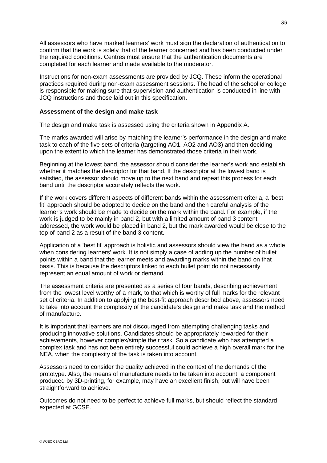All assessors who have marked learners' work must sign the declaration of authentication to confirm that the work is solely that of the learner concerned and has been conducted under the required conditions. Centres must ensure that the authentication documents are completed for each learner and made available to the moderator.

Instructions for non-exam assessments are provided by JCQ. These inform the operational practices required during non-exam assessment sessions. The head of the school or college is responsible for making sure that supervision and authentication is conducted in line with JCQ instructions and those laid out in this specification.

#### **Assessment of the design and make task**

The design and make task is assessed using the criteria shown in Appendix A.

The marks awarded will arise by matching the learner's performance in the design and make task to each of the five sets of criteria (targeting AO1, AO2 and AO3) and then deciding upon the extent to which the learner has demonstrated those criteria in their work.

Beginning at the lowest band, the assessor should consider the learner's work and establish whether it matches the descriptor for that band. If the descriptor at the lowest band is satisfied, the assessor should move up to the next band and repeat this process for each band until the descriptor accurately reflects the work.

If the work covers different aspects of different bands within the assessment criteria, a 'best fit' approach should be adopted to decide on the band and then careful analysis of the learner's work should be made to decide on the mark within the band. For example, if the work is judged to be mainly in band 2, but with a limited amount of band 3 content addressed, the work would be placed in band 2, but the mark awarded would be close to the top of band 2 as a result of the band 3 content.

Application of a 'best fit' approach is holistic and assessors should view the band as a whole when considering learners' work. It is not simply a case of adding up the number of bullet points within a band that the learner meets and awarding marks within the band on that basis. This is because the descriptors linked to each bullet point do not necessarily represent an equal amount of work or demand.

The assessment criteria are presented as a series of four bands, describing achievement from the lowest level worthy of a mark, to that which is worthy of full marks for the relevant set of criteria. In addition to applying the best-fit approach described above, assessors need to take into account the complexity of the candidate's design and make task and the method of manufacture.

It is important that learners are not discouraged from attempting challenging tasks and producing innovative solutions. Candidates should be appropriately rewarded for their achievements, however complex/simple their task. So a candidate who has attempted a complex task and has not been entirely successful could achieve a high overall mark for the NEA, when the complexity of the task is taken into account.

Assessors need to consider the quality achieved in the context of the demands of the prototype. Also, the means of manufacture needs to be taken into account: a component produced by 3D-printing, for example, may have an excellent finish, but will have been straightforward to achieve.

Outcomes do not need to be perfect to achieve full marks, but should reflect the standard expected at GCSE.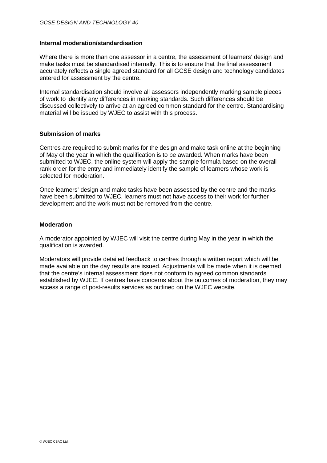#### **Internal moderation/standardisation**

Where there is more than one assessor in a centre, the assessment of learners' design and make tasks must be standardised internally. This is to ensure that the final assessment accurately reflects a single agreed standard for all GCSE design and technology candidates entered for assessment by the centre.

Internal standardisation should involve all assessors independently marking sample pieces of work to identify any differences in marking standards. Such differences should be discussed collectively to arrive at an agreed common standard for the centre. Standardising material will be issued by WJEC to assist with this process.

#### **Submission of marks**

Centres are required to submit marks for the design and make task online at the beginning of May of the year in which the qualification is to be awarded. When marks have been submitted to WJEC, the online system will apply the sample formula based on the overall rank order for the entry and immediately identify the sample of learners whose work is selected for moderation.

Once learners' design and make tasks have been assessed by the centre and the marks have been submitted to WJEC, learners must not have access to their work for further development and the work must not be removed from the centre.

#### **Moderation**

A moderator appointed by WJEC will visit the centre during May in the year in which the qualification is awarded.

Moderators will provide detailed feedback to centres through a written report which will be made available on the day results are issued. Adjustments will be made when it is deemed that the centre's internal assessment does not conform to agreed common standards established by WJEC. If centres have concerns about the outcomes of moderation, they may access a range of post-results services as outlined on the WJEC website.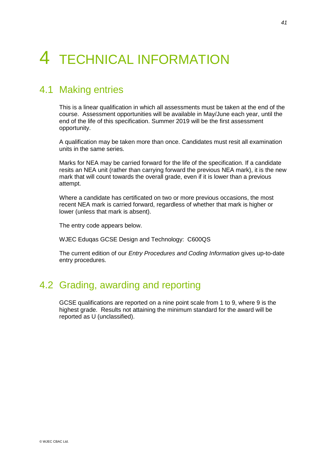# 4 TECHNICAL INFORMATION

### 4.1 Making entries

This is a linear qualification in which all assessments must be taken at the end of the course. Assessment opportunities will be available in May/June each year, until the end of the life of this specification. Summer 2019 will be the first assessment opportunity.

A qualification may be taken more than once. Candidates must resit all examination units in the same series.

Marks for NEA may be carried forward for the life of the specification. If a candidate resits an NEA unit (rather than carrying forward the previous NEA mark), it is the new mark that will count towards the overall grade, even if it is lower than a previous attempt.

Where a candidate has certificated on two or more previous occasions, the most recent NEA mark is carried forward, regardless of whether that mark is higher or lower (unless that mark is absent).

The entry code appears below.

WJEC Eduqas GCSE Design and Technology: C600QS

The current edition of our *Entry Procedures and Coding Information* gives up-to-date entry procedures.

### 4.2 Grading, awarding and reporting

GCSE qualifications are reported on a nine point scale from 1 to 9, where 9 is the highest grade. Results not attaining the minimum standard for the award will be reported as U (unclassified).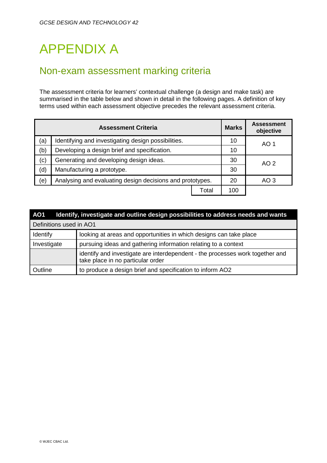# APPENDIX A

### Non-exam assessment marking criteria

The assessment criteria for learners' contextual challenge (a design and make task) are summarised in the table below and shown in detail in the following pages. A definition of key terms used within each assessment objective precedes the relevant assessment criteria.

|                                                                  | <b>Assessment Criteria</b>                          |       |                 | <b>Assessment</b><br>objective |
|------------------------------------------------------------------|-----------------------------------------------------|-------|-----------------|--------------------------------|
| (a)                                                              | Identifying and investigating design possibilities. |       | 10              | AO 1                           |
| Developing a design brief and specification.<br>(b)              |                                                     | 10    |                 |                                |
| (c)<br>Generating and developing design ideas.                   |                                                     | 30    | AO 2            |                                |
| (d)<br>Manufacturing a prototype.                                |                                                     | 30    |                 |                                |
| Analysing and evaluating design decisions and prototypes.<br>(e) |                                                     | 20    | AO <sub>3</sub> |                                |
|                                                                  |                                                     | Total | 100             |                                |

| AO1                                                                                   | Identify, investigate and outline design possibilities to address needs and wants                                  |  |  |
|---------------------------------------------------------------------------------------|--------------------------------------------------------------------------------------------------------------------|--|--|
| Definitions used in AO1                                                               |                                                                                                                    |  |  |
| looking at areas and opportunities in which designs can take place<br><b>Identify</b> |                                                                                                                    |  |  |
| Investigate                                                                           | pursuing ideas and gathering information relating to a context                                                     |  |  |
|                                                                                       | identify and investigate are interdependent - the processes work together and<br>take place in no particular order |  |  |
| Outline                                                                               | to produce a design brief and specification to inform AO2                                                          |  |  |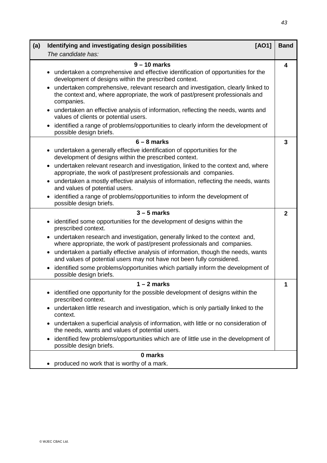| (a) | [AO1]<br>Identifying and investigating design possibilities                                                                                                                                   | <b>Band</b>  |
|-----|-----------------------------------------------------------------------------------------------------------------------------------------------------------------------------------------------|--------------|
|     | The candidate has:                                                                                                                                                                            |              |
|     | $9 - 10$ marks<br>• undertaken a comprehensive and effective identification of opportunities for the<br>development of designs within the prescribed context.                                 | 4            |
|     | undertaken comprehensive, relevant research and investigation, clearly linked to<br>$\bullet$<br>the context and, where appropriate, the work of past/present professionals and<br>companies. |              |
|     | undertaken an effective analysis of information, reflecting the needs, wants and<br>$\bullet$<br>values of clients or potential users.                                                        |              |
|     | identified a range of problems/opportunities to clearly inform the development of<br>$\bullet$<br>possible design briefs.                                                                     |              |
|     | $6 - 8$ marks                                                                                                                                                                                 | 3            |
|     | undertaken a generally effective identification of opportunities for the<br>$\bullet$<br>development of designs within the prescribed context.                                                |              |
|     | undertaken relevant research and investigation, linked to the context and, where<br>$\bullet$<br>appropriate, the work of past/present professionals and companies.                           |              |
|     | undertaken a mostly effective analysis of information, reflecting the needs, wants<br>$\bullet$<br>and values of potential users.                                                             |              |
|     | identified a range of problems/opportunities to inform the development of<br>$\bullet$<br>possible design briefs.                                                                             |              |
|     | $3 - 5$ marks                                                                                                                                                                                 | $\mathbf{2}$ |
|     | identified some opportunities for the development of designs within the<br>$\bullet$<br>prescribed context.                                                                                   |              |
|     | • undertaken research and investigation, generally linked to the context and,<br>where appropriate, the work of past/present professionals and companies.                                     |              |
|     | undertaken a partially effective analysis of information, though the needs, wants<br>$\bullet$<br>and values of potential users may not have not been fully considered.                       |              |
|     | identified some problems/opportunities which partially inform the development of<br>$\bullet$<br>possible design briefs.                                                                      |              |
|     | $1 - 2$ marks                                                                                                                                                                                 | 1            |
|     | identified one opportunity for the possible development of designs within the<br>٠<br>prescribed context.                                                                                     |              |
|     | undertaken little research and investigation, which is only partially linked to the<br>$\bullet$<br>context.                                                                                  |              |
|     | undertaken a superficial analysis of information, with little or no consideration of<br>$\bullet$<br>the needs, wants and values of potential users.                                          |              |
|     | identified few problems/opportunities which are of little use in the development of<br>$\bullet$<br>possible design briefs.                                                                   |              |
|     | 0 marks                                                                                                                                                                                       |              |
|     | produced no work that is worthy of a mark.                                                                                                                                                    |              |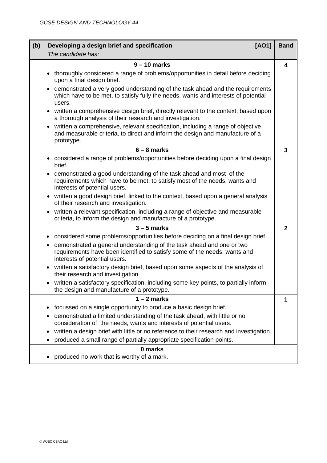| (b) | [AO1]<br>Developing a design brief and specification                                                                                                                                            |              |  |
|-----|-------------------------------------------------------------------------------------------------------------------------------------------------------------------------------------------------|--------------|--|
|     | The candidate has:                                                                                                                                                                              |              |  |
|     | $9 - 10$ marks                                                                                                                                                                                  | 4            |  |
|     | thoroughly considered a range of problems/opportunities in detail before deciding<br>upon a final design brief.                                                                                 |              |  |
|     | demonstrated a very good understanding of the task ahead and the requirements<br>which have to be met, to satisfy fully the needs, wants and interests of potential<br>users.                   |              |  |
|     | written a comprehensive design brief, directly relevant to the context, based upon<br>$\bullet$<br>a thorough analysis of their research and investigation.                                     |              |  |
|     | written a comprehensive, relevant specification, including a range of objective<br>$\bullet$<br>and measurable criteria, to direct and inform the design and manufacture of a<br>prototype.     |              |  |
|     | $6 - 8$ marks                                                                                                                                                                                   | 3            |  |
|     | considered a range of problems/opportunities before deciding upon a final design<br>brief.                                                                                                      |              |  |
|     | demonstrated a good understanding of the task ahead and most of the<br>$\bullet$<br>requirements which have to be met, to satisfy most of the needs, wants and<br>interests of potential users. |              |  |
|     | written a good design brief, linked to the context, based upon a general analysis<br>$\bullet$<br>of their research and investigation.                                                          |              |  |
|     | written a relevant specification, including a range of objective and measurable<br>criteria, to inform the design and manufacture of a prototype.                                               |              |  |
|     | $3 - 5$ marks                                                                                                                                                                                   | $\mathbf{2}$ |  |
|     | considered some problems/opportunities before deciding on a final design brief.<br>$\bullet$                                                                                                    |              |  |
|     | demonstrated a general understanding of the task ahead and one or two<br>٠<br>requirements have been identified to satisfy some of the needs, wants and<br>interests of potential users.        |              |  |
|     | written a satisfactory design brief, based upon some aspects of the analysis of<br>$\bullet$<br>their research and investigation.                                                               |              |  |
|     | written a satisfactory specification, including some key points, to partially inform<br>٠<br>the design and manufacture of a prototype.                                                         |              |  |
|     | $1 - 2$ marks                                                                                                                                                                                   | 1            |  |
|     | focussed on a single opportunity to produce a basic design brief.<br>٠                                                                                                                          |              |  |
|     | demonstrated a limited understanding of the task ahead, with little or no<br>consideration of the needs, wants and interests of potential users.                                                |              |  |
|     | written a design brief with little or no reference to their research and investigation.<br>$\bullet$<br>produced a small range of partially appropriate specification points.                   |              |  |
|     | 0 marks                                                                                                                                                                                         |              |  |
|     | produced no work that is worthy of a mark.                                                                                                                                                      |              |  |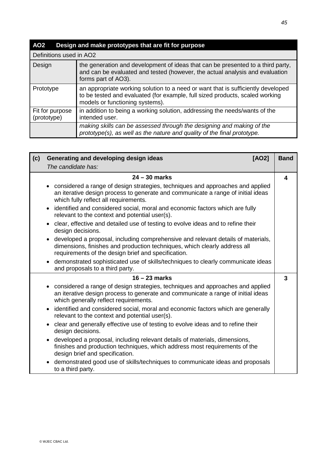| AO <sub>2</sub>                | Design and make prototypes that are fit for purpose                                                                                                                                                 |
|--------------------------------|-----------------------------------------------------------------------------------------------------------------------------------------------------------------------------------------------------|
| Definitions used in AO2        |                                                                                                                                                                                                     |
| Design                         | the generation and development of ideas that can be presented to a third party,<br>and can be evaluated and tested (however, the actual analysis and evaluation<br>forms part of AO3).              |
| Prototype                      | an appropriate working solution to a need or want that is sufficiently developed<br>to be tested and evaluated (for example, full sized products, scaled working<br>models or functioning systems). |
| Fit for purpose<br>(prototype) | in addition to being a working solution, addressing the needs/wants of the<br>intended user.                                                                                                        |
|                                | making skills can be assessed through the designing and making of the<br>prototype(s), as well as the nature and quality of the final prototype.                                                    |

| (c) | Generating and developing design ideas<br>[AO2]                                                                                                                                                                                   |              |
|-----|-----------------------------------------------------------------------------------------------------------------------------------------------------------------------------------------------------------------------------------|--------------|
|     | The candidate has:                                                                                                                                                                                                                |              |
|     | $24 - 30$ marks                                                                                                                                                                                                                   | 4            |
|     | considered a range of design strategies, techniques and approaches and applied<br>$\bullet$<br>an iterative design process to generate and communicate a range of initial ideas<br>which fully reflect all requirements.          |              |
|     | identified and considered social, moral and economic factors which are fully<br>$\bullet$<br>relevant to the context and potential user(s).                                                                                       |              |
|     | • clear, effective and detailed use of testing to evolve ideas and to refine their<br>design decisions.                                                                                                                           |              |
|     | developed a proposal, including comprehensive and relevant details of materials,<br>$\bullet$<br>dimensions, finishes and production techniques, which clearly address all<br>requirements of the design brief and specification. |              |
|     | demonstrated sophisticated use of skills/techniques to clearly communicate ideas<br>$\bullet$<br>and proposals to a third party.                                                                                                  |              |
|     | $16 - 23$ marks                                                                                                                                                                                                                   | $\mathbf{3}$ |
|     | considered a range of design strategies, techniques and approaches and applied<br>$\bullet$<br>an iterative design process to generate and communicate a range of initial ideas<br>which generally reflect requirements.          |              |
|     | identified and considered social, moral and economic factors which are generally<br>$\bullet$<br>relevant to the context and potential user(s).                                                                                   |              |
|     | • clear and generally effective use of testing to evolve ideas and to refine their<br>design decisions.                                                                                                                           |              |
|     | developed a proposal, including relevant details of materials, dimensions,<br>$\bullet$<br>finishes and production techniques, which address most requirements of the<br>design brief and specification.                          |              |
|     | demonstrated good use of skills/techniques to communicate ideas and proposals<br>$\bullet$<br>to a third party.                                                                                                                   |              |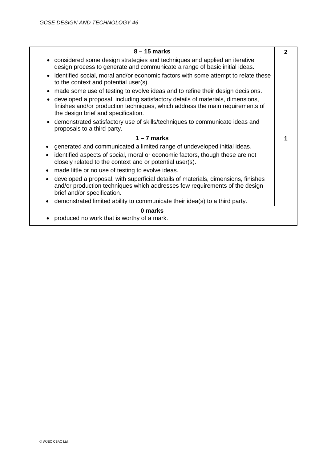| $8 - 15$ marks                                                                                                                                                                                                      | $\mathbf{2}$ |
|---------------------------------------------------------------------------------------------------------------------------------------------------------------------------------------------------------------------|--------------|
| • considered some design strategies and techniques and applied an iterative<br>design process to generate and communicate a range of basic initial ideas.                                                           |              |
| • identified social, moral and/or economic factors with some attempt to relate these<br>to the context and potential user(s).                                                                                       |              |
| made some use of testing to evolve ideas and to refine their design decisions.<br>$\bullet$                                                                                                                         |              |
| developed a proposal, including satisfactory details of materials, dimensions,<br>$\bullet$<br>finishes and/or production techniques, which address the main requirements of<br>the design brief and specification. |              |
| demonstrated satisfactory use of skills/techniques to communicate ideas and<br>$\bullet$<br>proposals to a third party.                                                                                             |              |
| $1 - 7$ marks                                                                                                                                                                                                       | 1            |
| generated and communicated a limited range of undeveloped initial ideas.                                                                                                                                            |              |
| identified aspects of social, moral or economic factors, though these are not<br>closely related to the context and or potential user(s).                                                                           |              |
| made little or no use of testing to evolve ideas.                                                                                                                                                                   |              |
| developed a proposal, with superficial details of materials, dimensions, finishes<br>and/or production techniques which addresses few requirements of the design<br>brief and/or specification.                     |              |
| demonstrated limited ability to communicate their idea(s) to a third party.                                                                                                                                         |              |
| 0 marks                                                                                                                                                                                                             |              |
| produced no work that is worthy of a mark.                                                                                                                                                                          |              |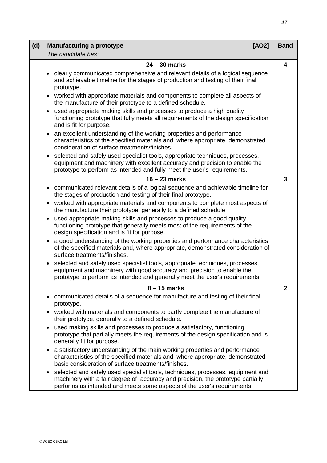| (d)<br><b>Manufacturing a prototype</b><br>[AO2] |                                                                                                                                                                                                                                                      |   |  |
|--------------------------------------------------|------------------------------------------------------------------------------------------------------------------------------------------------------------------------------------------------------------------------------------------------------|---|--|
|                                                  | The candidate has:                                                                                                                                                                                                                                   |   |  |
| $24 - 30$ marks                                  |                                                                                                                                                                                                                                                      |   |  |
|                                                  | clearly communicated comprehensive and relevant details of a logical sequence<br>$\bullet$<br>and achievable timeline for the stages of production and testing of their final<br>prototype.                                                          |   |  |
|                                                  | worked with appropriate materials and components to complete all aspects of<br>the manufacture of their prototype to a defined schedule.                                                                                                             |   |  |
|                                                  | used appropriate making skills and processes to produce a high quality<br>$\bullet$<br>functioning prototype that fully meets all requirements of the design specification<br>and is fit for purpose.                                                |   |  |
|                                                  | an excellent understanding of the working properties and performance<br>characteristics of the specified materials and, where appropriate, demonstrated<br>consideration of surface treatments/finishes.                                             |   |  |
|                                                  | selected and safely used specialist tools, appropriate techniques, processes,<br>equipment and machinery with excellent accuracy and precision to enable the<br>prototype to perform as intended and fully meet the user's requirements.             |   |  |
|                                                  | $16 - 23$ marks                                                                                                                                                                                                                                      | 3 |  |
|                                                  | communicated relevant details of a logical sequence and achievable timeline for<br>the stages of production and testing of their final prototype.                                                                                                    |   |  |
|                                                  | worked with appropriate materials and components to complete most aspects of<br>$\bullet$<br>the manufacture their prototype, generally to a defined schedule.                                                                                       |   |  |
|                                                  | used appropriate making skills and processes to produce a good quality<br>functioning prototype that generally meets most of the requirements of the<br>design specification and is fit for purpose.                                                 |   |  |
|                                                  | a good understanding of the working properties and performance characteristics<br>of the specified materials and, where appropriate, demonstrated consideration of<br>surface treatments/finishes.                                                   |   |  |
|                                                  | selected and safely used specialist tools, appropriate techniques, processes,<br>$\bullet$<br>equipment and machinery with good accuracy and precision to enable the<br>prototype to perform as intended and generally meet the user's requirements. |   |  |
|                                                  | $8 - 15$ marks                                                                                                                                                                                                                                       | 2 |  |
|                                                  | communicated details of a sequence for manufacture and testing of their final<br>prototype.                                                                                                                                                          |   |  |
|                                                  | worked with materials and components to partly complete the manufacture of<br>$\bullet$<br>their prototype, generally to a defined schedule.                                                                                                         |   |  |
|                                                  | used making skills and processes to produce a satisfactory, functioning<br>prototype that partially meets the requirements of the design specification and is<br>generally fit for purpose.                                                          |   |  |
|                                                  | a satisfactory understanding of the main working properties and performance<br>characteristics of the specified materials and, where appropriate, demonstrated<br>basic consideration of surface treatments/finishes.                                |   |  |
|                                                  | selected and safely used specialist tools, techniques, processes, equipment and<br>machinery with a fair degree of accuracy and precision, the prototype partially<br>performs as intended and meets some aspects of the user's requirements.        |   |  |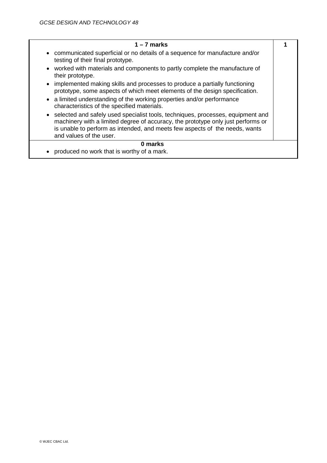| $1 - 7$ marks                                                                                                                                                                                                                                                                              |  |
|--------------------------------------------------------------------------------------------------------------------------------------------------------------------------------------------------------------------------------------------------------------------------------------------|--|
| • communicated superficial or no details of a sequence for manufacture and/or<br>testing of their final prototype.                                                                                                                                                                         |  |
| • worked with materials and components to partly complete the manufacture of<br>their prototype.                                                                                                                                                                                           |  |
| • implemented making skills and processes to produce a partially functioning<br>prototype, some aspects of which meet elements of the design specification.                                                                                                                                |  |
| a limited understanding of the working properties and/or performance<br>$\bullet$<br>characteristics of the specified materials.                                                                                                                                                           |  |
| selected and safely used specialist tools, techniques, processes, equipment and<br>$\bullet$<br>machinery with a limited degree of accuracy, the prototype only just performs or<br>is unable to perform as intended, and meets few aspects of the needs, wants<br>and values of the user. |  |
| 0 marks                                                                                                                                                                                                                                                                                    |  |
| produced no work that is worthy of a mark.<br>٠                                                                                                                                                                                                                                            |  |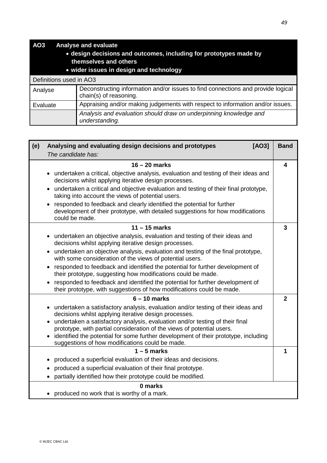| AO <sub>3</sub><br><b>Analyse and evaluate</b><br>. design decisions and outcomes, including for prototypes made by<br>themselves and others<br>. wider issues in design and technology |                                                                                                            |  |  |
|-----------------------------------------------------------------------------------------------------------------------------------------------------------------------------------------|------------------------------------------------------------------------------------------------------------|--|--|
| Definitions used in AO3                                                                                                                                                                 |                                                                                                            |  |  |
| Analyse                                                                                                                                                                                 | Deconstructing information and/or issues to find connections and provide logical<br>chain(s) of reasoning. |  |  |
| Appraising and/or making judgements with respect to information and/or issues.<br>Evaluate                                                                                              |                                                                                                            |  |  |
|                                                                                                                                                                                         | Analysis and evaluation should draw on underpinning knowledge and<br>understanding.                        |  |  |

| Analysing and evaluating design decisions and prototypes<br>[AO3]<br>(e) |                                                                                                                                                                             | <b>Band</b>             |
|--------------------------------------------------------------------------|-----------------------------------------------------------------------------------------------------------------------------------------------------------------------------|-------------------------|
|                                                                          | The candidate has:                                                                                                                                                          |                         |
|                                                                          | $16 - 20$ marks                                                                                                                                                             | $\overline{\mathbf{4}}$ |
|                                                                          | • undertaken a critical, objective analysis, evaluation and testing of their ideas and<br>decisions whilst applying iterative design processes.                             |                         |
|                                                                          | • undertaken a critical and objective evaluation and testing of their final prototype,<br>taking into account the views of potential users.                                 |                         |
|                                                                          | responded to feedback and clearly identified the potential for further<br>development of their prototype, with detailed suggestions for how modifications<br>could be made. |                         |
|                                                                          | $11 - 15$ marks                                                                                                                                                             | $\overline{3}$          |
|                                                                          | • undertaken an objective analysis, evaluation and testing of their ideas and<br>decisions whilst applying iterative design processes.                                      |                         |
|                                                                          | • undertaken an objective analysis, evaluation and testing of the final prototype,<br>with some consideration of the views of potential users.                              |                         |
|                                                                          | • responded to feedback and identified the potential for further development of<br>their prototype, suggesting how modifications could be made.                             |                         |
|                                                                          | responded to feedback and identified the potential for further development of<br>their prototype, with suggestions of how modifications could be made.                      |                         |
|                                                                          | $6 - 10$ marks                                                                                                                                                              | $\overline{2}$          |
|                                                                          | undertaken a satisfactory analysis, evaluation and/or testing of their ideas and<br>$\bullet$<br>decisions whilst applying iterative design processes.                      |                         |
|                                                                          | • undertaken a satisfactory analysis, evaluation and/or testing of their final<br>prototype, with partial consideration of the views of potential users.                    |                         |
|                                                                          | • identified the potential for some further development of their prototype, including<br>suggestions of how modifications could be made.                                    |                         |
|                                                                          | $1 - 5$ marks                                                                                                                                                               | $\mathbf 1$             |
|                                                                          | produced a superficial evaluation of their ideas and decisions.                                                                                                             |                         |
|                                                                          | produced a superficial evaluation of their final prototype.<br>$\bullet$                                                                                                    |                         |
|                                                                          | partially identified how their prototype could be modified.                                                                                                                 |                         |
|                                                                          | 0 marks<br>produced no work that is worthy of a mark.                                                                                                                       |                         |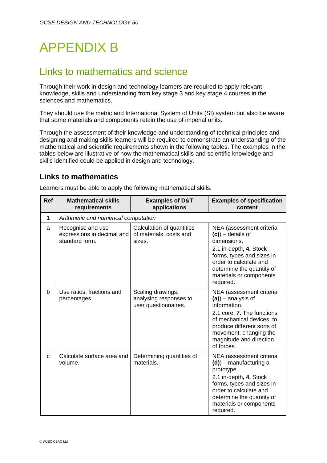# APPENDIX B

### Links to mathematics and science

Through their work in design and technology learners are required to apply relevant knowledge, skills and understanding from key stage 3 and key stage 4 courses in the sciences and mathematics.

They should use the metric and International System of Units (SI) system but also be aware that some materials and components retain the use of imperial units.

Through the assessment of their knowledge and understanding of technical principles and designing and making skills learners will be required to demonstrate an understanding of the mathematical and scientific requirements shown in the following tables. The examples in the tables below are illustrative of how the mathematical skills and scientific knowledge and skills identified could be applied in design and technology.

### **Links to mathematics**

Learners must be able to apply the following mathematical skills.

| <b>Ref</b>  | <b>Mathematical skills</b><br>requirements                        | <b>Examples of D&amp;T</b><br>applications                          | <b>Examples of specification</b><br>content                                                                                                                                                                                   |
|-------------|-------------------------------------------------------------------|---------------------------------------------------------------------|-------------------------------------------------------------------------------------------------------------------------------------------------------------------------------------------------------------------------------|
| 1           | Arithmetic and numerical computation                              |                                                                     |                                                                                                                                                                                                                               |
| a           | Recognise and use<br>expressions in decimal and<br>standard form. | Calculation of quantities<br>of materials, costs and<br>sizes.      | NEA (assessment criteria<br>$(c)$ ) – details of<br>dimensions.<br>2.1 in-depth, 4. Stock<br>forms, types and sizes in<br>order to calculate and<br>determine the quantity of<br>materials or components<br>required.         |
| b           | Use ratios, fractions and<br>percentages.                         | Scaling drawings,<br>analysing responses to<br>user questionnaires. | NEA (assessment criteria<br>$(a)$ ) – analysis of<br>information.<br>2.1 core, 7. The functions<br>of mechanical devices, to<br>produce different sorts of<br>movement, changing the<br>magnitude and direction<br>of forces. |
| $\mathbf c$ | Calculate surface area and<br>volume.                             | Determining quantities of<br>materials.                             | NEA (assessment criteria<br>$(d)$ ) – manufacturing a<br>prototype.<br>2.1 in-depth, 4. Stock<br>forms, types and sizes in<br>order to calculate and<br>determine the quantity of<br>materials or components<br>required.     |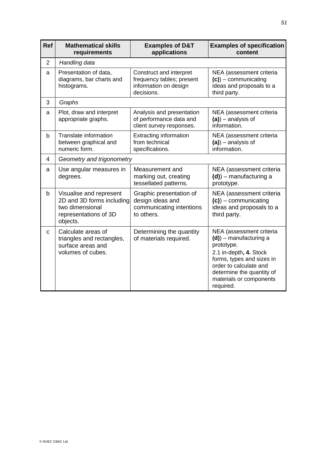| <b>Ref</b>     | <b>Mathematical skills</b><br>requirements                                                                   | <b>Examples of D&amp;T</b><br>applications                                                  | <b>Examples of specification</b><br>content                                                                                                                                                                               |
|----------------|--------------------------------------------------------------------------------------------------------------|---------------------------------------------------------------------------------------------|---------------------------------------------------------------------------------------------------------------------------------------------------------------------------------------------------------------------------|
| $\overline{2}$ | Handling data                                                                                                |                                                                                             |                                                                                                                                                                                                                           |
| a              | Presentation of data,<br>diagrams, bar charts and<br>histograms.                                             | Construct and interpret<br>frequency tables; present<br>information on design<br>decisions. | NEA (assessment criteria<br>$(c)$ ) – communicating<br>ideas and proposals to a<br>third party.                                                                                                                           |
| 3              | Graphs                                                                                                       |                                                                                             |                                                                                                                                                                                                                           |
| a              | Plot, draw and interpret<br>appropriate graphs.                                                              | Analysis and presentation<br>of performance data and<br>client survey responses.            | NEA (assessment criteria<br>$(a)$ ) – analysis of<br>information.                                                                                                                                                         |
| b              | Translate information<br>between graphical and<br>numeric form.                                              | <b>Extracting information</b><br>from technical<br>specifications.                          | NEA (assessment criteria<br>$(a)$ ) – analysis of<br>information.                                                                                                                                                         |
| 4              | Geometry and trigonometry                                                                                    |                                                                                             |                                                                                                                                                                                                                           |
| a              | Use angular measures in<br>degrees.                                                                          | Measurement and<br>marking out, creating<br>tessellated patterns.                           | NEA (assessment criteria<br>$(d)$ ) – manufacturing a<br>prototype.                                                                                                                                                       |
| $\mathsf b$    | Visualise and represent<br>2D and 3D forms including<br>two dimensional<br>representations of 3D<br>objects. | Graphic presentation of<br>design ideas and<br>communicating intentions<br>to others.       | NEA (assessment criteria<br>$(c)$ ) – communicating<br>ideas and proposals to a<br>third party.                                                                                                                           |
| $\mathbf{C}$   | Calculate areas of<br>triangles and rectangles,<br>surface areas and<br>volumes of cubes.                    | Determining the quantity<br>of materials required.                                          | NEA (assessment criteria<br>$(d)$ ) – manufacturing a<br>prototype.<br>2.1 in-depth, 4. Stock<br>forms, types and sizes in<br>order to calculate and<br>determine the quantity of<br>materials or components<br>required. |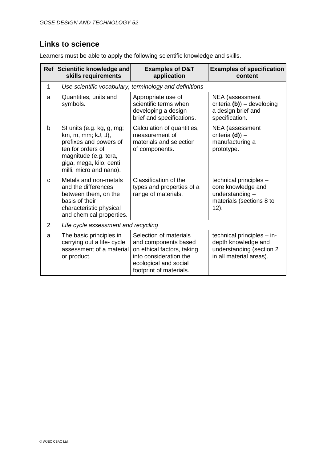### **Links to science**

Learners must be able to apply the following scientific knowledge and skills.

| <b>Ref</b> | Scientific knowledge and<br>skills requirements                                                                                                                                | <b>Examples of D&amp;T</b><br>application                                                                                                                  | <b>Examples of specification</b><br>content                                                              |
|------------|--------------------------------------------------------------------------------------------------------------------------------------------------------------------------------|------------------------------------------------------------------------------------------------------------------------------------------------------------|----------------------------------------------------------------------------------------------------------|
| 1          | Use scientific vocabulary, terminology and definitions                                                                                                                         |                                                                                                                                                            |                                                                                                          |
| a          | Quantities, units and<br>symbols.                                                                                                                                              | Appropriate use of<br>scientific terms when<br>developing a design<br>brief and specifications.                                                            | NEA (assessment<br>criteria $(b)$ ) – developing<br>a design brief and<br>specification.                 |
| b          | SI units (e.g. kg, g, mg;<br>km, m, mm; kJ, J),<br>prefixes and powers of<br>ten for orders of<br>magnitude (e.g. tera,<br>giga, mega, kilo, centi,<br>milli, micro and nano). | Calculation of quantities,<br>measurement of<br>materials and selection<br>of components.                                                                  | NEA (assessment<br>criteria $(d)$ ) –<br>manufacturing a<br>prototype.                                   |
| C          | Metals and non-metals<br>and the differences<br>between them, on the<br>basis of their<br>characteristic physical<br>and chemical properties.                                  | Classification of the<br>types and properties of a<br>range of materials.                                                                                  | technical principles -<br>core knowledge and<br>understanding -<br>materials (sections 8 to<br>$12$ ).   |
| 2          | Life cycle assessment and recycling                                                                                                                                            |                                                                                                                                                            |                                                                                                          |
| a          | The basic principles in<br>carrying out a life- cycle<br>assessment of a material<br>or product.                                                                               | Selection of materials<br>and components based<br>on ethical factors, taking<br>into consideration the<br>ecological and social<br>footprint of materials. | technical principles - in-<br>depth knowledge and<br>understanding (section 2<br>in all material areas). |